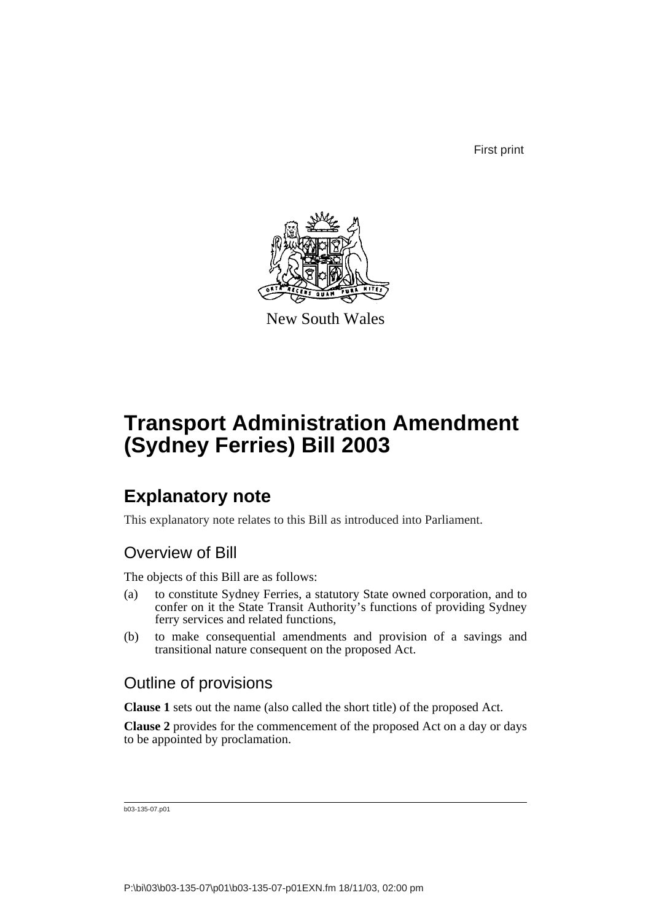First print



New South Wales

# **Transport Administration Amendment (Sydney Ferries) Bill 2003**

## **Explanatory note**

This explanatory note relates to this Bill as introduced into Parliament.

## Overview of Bill

The objects of this Bill are as follows:

- (a) to constitute Sydney Ferries, a statutory State owned corporation, and to confer on it the State Transit Authority's functions of providing Sydney ferry services and related functions,
- (b) to make consequential amendments and provision of a savings and transitional nature consequent on the proposed Act.

## Outline of provisions

**Clause 1** sets out the name (also called the short title) of the proposed Act.

**Clause 2** provides for the commencement of the proposed Act on a day or days to be appointed by proclamation.

b03-135-07.p01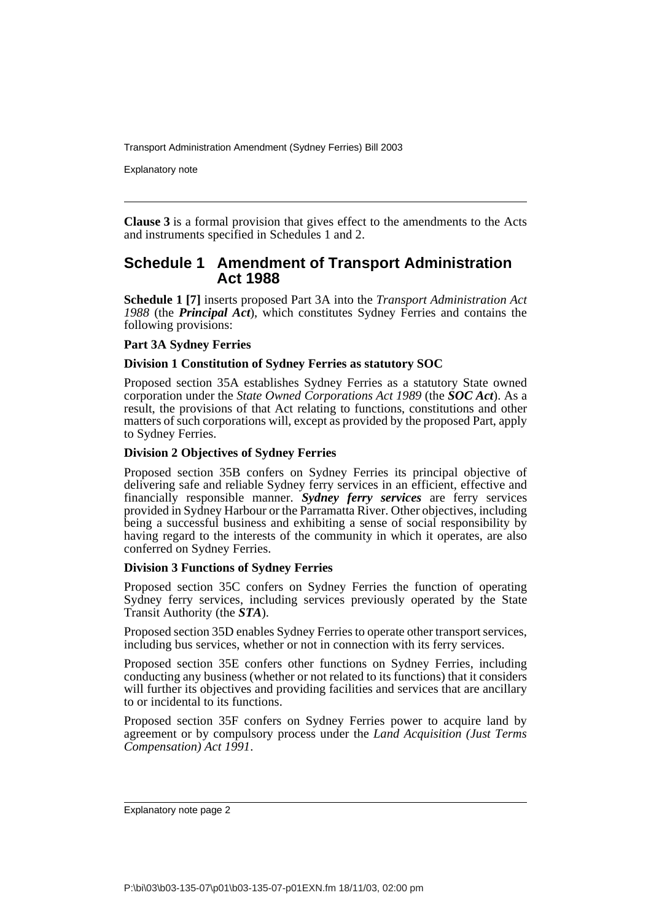Explanatory note

**Clause 3** is a formal provision that gives effect to the amendments to the Acts and instruments specified in Schedules 1 and 2.

### **Schedule 1 Amendment of Transport Administration Act 1988**

**Schedule 1 [7]** inserts proposed Part 3A into the *Transport Administration Act 1988* (the *Principal Act*), which constitutes Sydney Ferries and contains the following provisions:

**Part 3A Sydney Ferries**

### **Division 1 Constitution of Sydney Ferries as statutory SOC**

Proposed section 35A establishes Sydney Ferries as a statutory State owned corporation under the *State Owned Corporations Act 1989* (the *SOC Act*). As a result, the provisions of that Act relating to functions, constitutions and other matters of such corporations will, except as provided by the proposed Part, apply to Sydney Ferries.

### **Division 2 Objectives of Sydney Ferries**

Proposed section 35B confers on Sydney Ferries its principal objective of delivering safe and reliable Sydney ferry services in an efficient, effective and financially responsible manner. *Sydney ferry services* are ferry services provided in Sydney Harbour or the Parramatta River. Other objectives, including being a successful business and exhibiting a sense of social responsibility by having regard to the interests of the community in which it operates, are also conferred on Sydney Ferries.

### **Division 3 Functions of Sydney Ferries**

Proposed section 35C confers on Sydney Ferries the function of operating Sydney ferry services, including services previously operated by the State Transit Authority (the *STA*).

Proposed section 35D enables Sydney Ferries to operate other transport services, including bus services, whether or not in connection with its ferry services.

Proposed section 35E confers other functions on Sydney Ferries, including conducting any business (whether or not related to its functions) that it considers will further its objectives and providing facilities and services that are ancillary to or incidental to its functions.

Proposed section 35F confers on Sydney Ferries power to acquire land by agreement or by compulsory process under the *Land Acquisition (Just Terms Compensation) Act 1991*.

Explanatory note page 2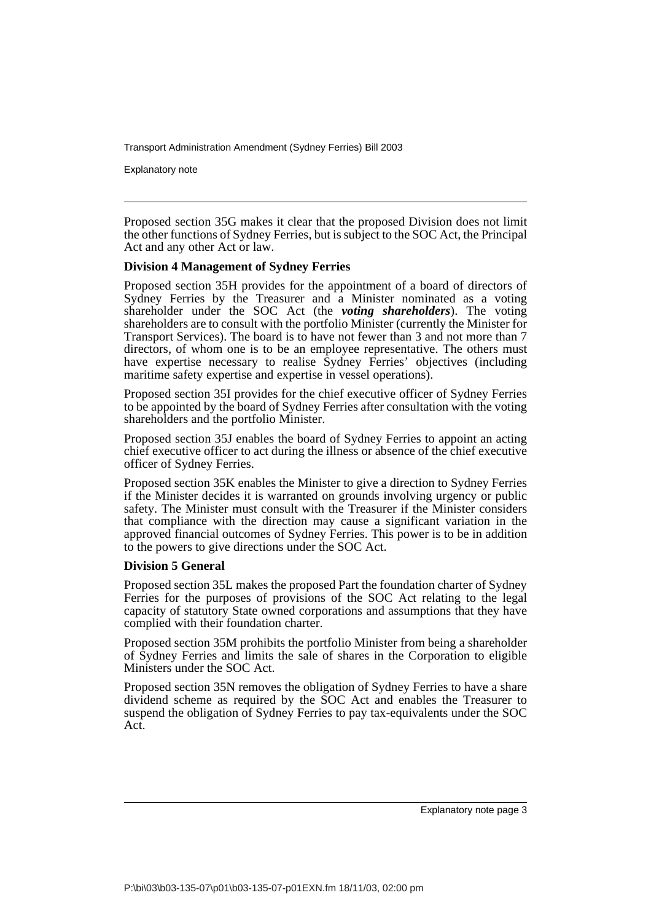Explanatory note

Proposed section 35G makes it clear that the proposed Division does not limit the other functions of Sydney Ferries, but is subject to the SOC Act, the Principal Act and any other Act or law.

### **Division 4 Management of Sydney Ferries**

Proposed section 35H provides for the appointment of a board of directors of Sydney Ferries by the Treasurer and a Minister nominated as a voting shareholder under the SOC Act (the *voting shareholders*). The voting shareholders are to consult with the portfolio Minister (currently the Minister for Transport Services). The board is to have not fewer than 3 and not more than 7 directors, of whom one is to be an employee representative. The others must have expertise necessary to realise Sydney Ferries' objectives (including maritime safety expertise and expertise in vessel operations).

Proposed section 35I provides for the chief executive officer of Sydney Ferries to be appointed by the board of Sydney Ferries after consultation with the voting shareholders and the portfolio Minister.

Proposed section 35J enables the board of Sydney Ferries to appoint an acting chief executive officer to act during the illness or absence of the chief executive officer of Sydney Ferries.

Proposed section 35K enables the Minister to give a direction to Sydney Ferries if the Minister decides it is warranted on grounds involving urgency or public safety. The Minister must consult with the Treasurer if the Minister considers that compliance with the direction may cause a significant variation in the approved financial outcomes of Sydney Ferries. This power is to be in addition to the powers to give directions under the SOC Act.

### **Division 5 General**

Proposed section 35L makes the proposed Part the foundation charter of Sydney Ferries for the purposes of provisions of the SOC Act relating to the legal capacity of statutory State owned corporations and assumptions that they have complied with their foundation charter.

Proposed section 35M prohibits the portfolio Minister from being a shareholder of Sydney Ferries and limits the sale of shares in the Corporation to eligible Ministers under the SOC Act.

Proposed section 35N removes the obligation of Sydney Ferries to have a share dividend scheme as required by the SOC Act and enables the Treasurer to suspend the obligation of Sydney Ferries to pay tax-equivalents under the SOC Act.

Explanatory note page 3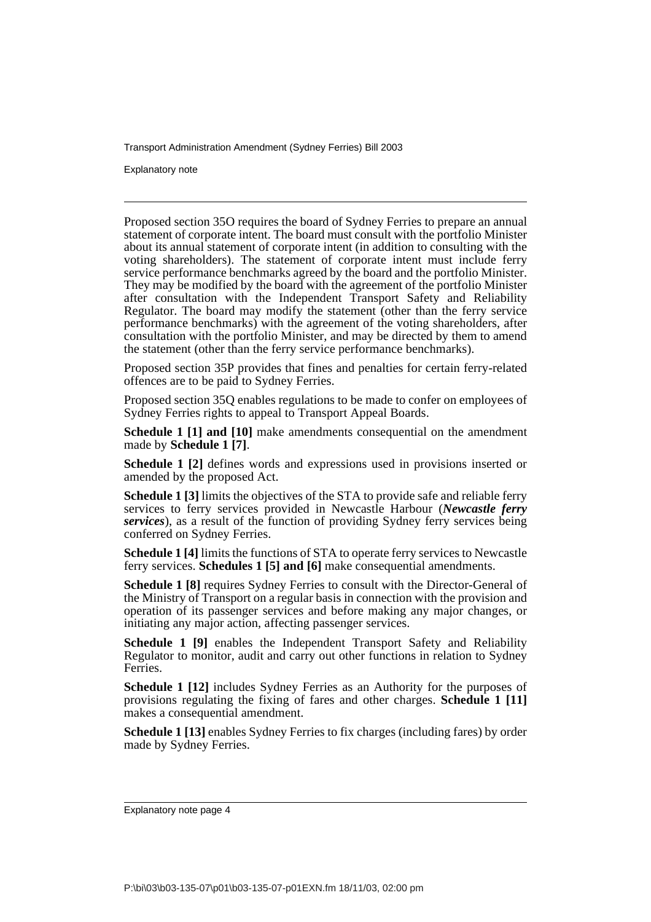Explanatory note

Proposed section 35O requires the board of Sydney Ferries to prepare an annual statement of corporate intent. The board must consult with the portfolio Minister about its annual statement of corporate intent (in addition to consulting with the voting shareholders). The statement of corporate intent must include ferry service performance benchmarks agreed by the board and the portfolio Minister. They may be modified by the board with the agreement of the portfolio Minister after consultation with the Independent Transport Safety and Reliability Regulator. The board may modify the statement (other than the ferry service performance benchmarks) with the agreement of the voting shareholders, after consultation with the portfolio Minister, and may be directed by them to amend the statement (other than the ferry service performance benchmarks).

Proposed section 35P provides that fines and penalties for certain ferry-related offences are to be paid to Sydney Ferries.

Proposed section 35Q enables regulations to be made to confer on employees of Sydney Ferries rights to appeal to Transport Appeal Boards.

**Schedule 1 [1] and [10]** make amendments consequential on the amendment made by **Schedule 1 [7]**.

**Schedule 1 [2]** defines words and expressions used in provisions inserted or amended by the proposed Act.

**Schedule 1 [3]** limits the objectives of the STA to provide safe and reliable ferry services to ferry services provided in Newcastle Harbour (*Newcastle ferry services*), as a result of the function of providing Sydney ferry services being conferred on Sydney Ferries.

**Schedule 1 [4]** limits the functions of STA to operate ferry services to Newcastle ferry services. **Schedules 1 [5] and [6]** make consequential amendments.

**Schedule 1 [8]** requires Sydney Ferries to consult with the Director-General of the Ministry of Transport on a regular basis in connection with the provision and operation of its passenger services and before making any major changes, or initiating any major action, affecting passenger services.

**Schedule 1 [9]** enables the Independent Transport Safety and Reliability Regulator to monitor, audit and carry out other functions in relation to Sydney Ferries.

**Schedule 1 [12]** includes Sydney Ferries as an Authority for the purposes of provisions regulating the fixing of fares and other charges. **Schedule 1 [11]** makes a consequential amendment.

**Schedule 1 [13]** enables Sydney Ferries to fix charges (including fares) by order made by Sydney Ferries.

Explanatory note page 4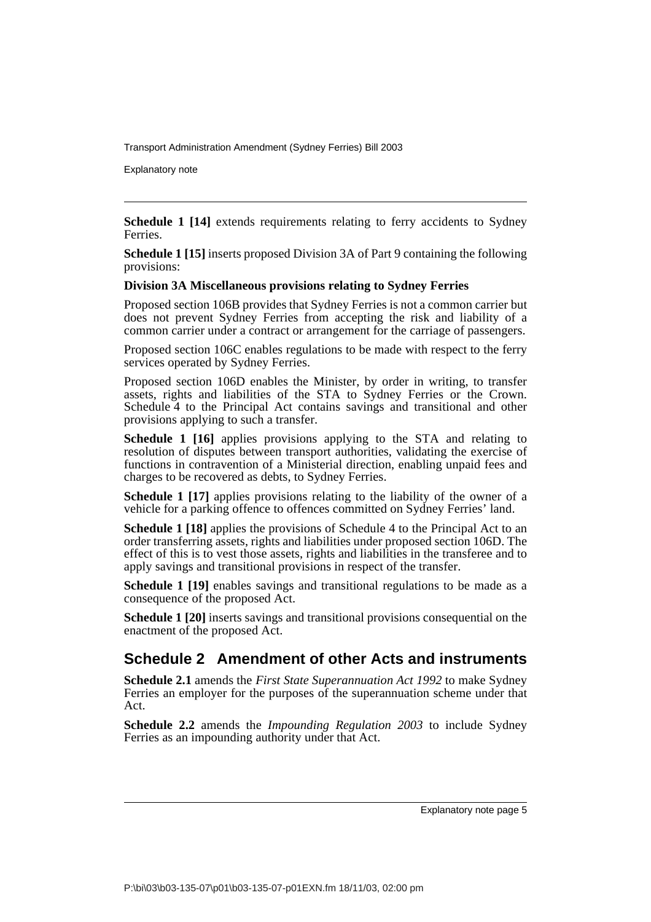Explanatory note

**Schedule 1 [14]** extends requirements relating to ferry accidents to Sydney Ferries.

**Schedule 1 [15]** inserts proposed Division 3A of Part 9 containing the following provisions:

#### **Division 3A Miscellaneous provisions relating to Sydney Ferries**

Proposed section 106B provides that Sydney Ferries is not a common carrier but does not prevent Sydney Ferries from accepting the risk and liability of a common carrier under a contract or arrangement for the carriage of passengers.

Proposed section 106C enables regulations to be made with respect to the ferry services operated by Sydney Ferries.

Proposed section 106D enables the Minister, by order in writing, to transfer assets, rights and liabilities of the STA to Sydney Ferries or the Crown. Schedule 4 to the Principal Act contains savings and transitional and other provisions applying to such a transfer.

**Schedule 1 [16]** applies provisions applying to the STA and relating to resolution of disputes between transport authorities, validating the exercise of functions in contravention of a Ministerial direction, enabling unpaid fees and charges to be recovered as debts, to Sydney Ferries.

**Schedule 1 [17]** applies provisions relating to the liability of the owner of a vehicle for a parking offence to offences committed on Sydney Ferries' land.

**Schedule 1 [18]** applies the provisions of Schedule 4 to the Principal Act to an order transferring assets, rights and liabilities under proposed section 106D. The effect of this is to vest those assets, rights and liabilities in the transferee and to apply savings and transitional provisions in respect of the transfer.

**Schedule 1 [19]** enables savings and transitional regulations to be made as a consequence of the proposed Act.

**Schedule 1 [20]** inserts savings and transitional provisions consequential on the enactment of the proposed Act.

## **Schedule 2 Amendment of other Acts and instruments**

**Schedule 2.1** amends the *First State Superannuation Act 1992* to make Sydney Ferries an employer for the purposes of the superannuation scheme under that Act.

**Schedule 2.2** amends the *Impounding Regulation 2003* to include Sydney Ferries as an impounding authority under that Act.

Explanatory note page 5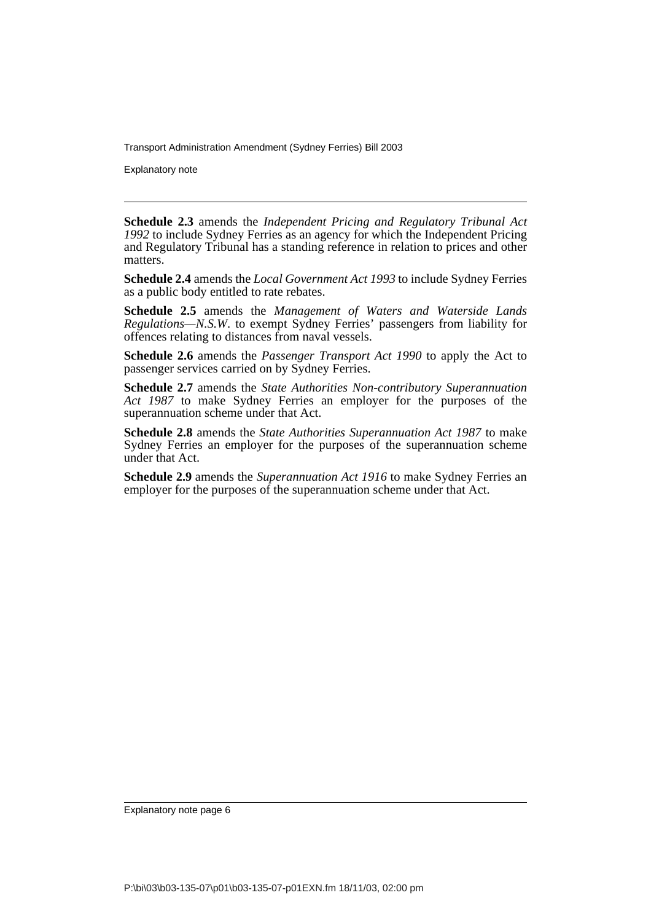Explanatory note

**Schedule 2.3** amends the *Independent Pricing and Regulatory Tribunal Act 1992* to include Sydney Ferries as an agency for which the Independent Pricing and Regulatory Tribunal has a standing reference in relation to prices and other matters.

**Schedule 2.4** amends the *Local Government Act 1993* to include Sydney Ferries as a public body entitled to rate rebates.

**Schedule 2.5** amends the *Management of Waters and Waterside Lands Regulations—N.S.W.* to exempt Sydney Ferries' passengers from liability for offences relating to distances from naval vessels.

**Schedule 2.6** amends the *Passenger Transport Act 1990* to apply the Act to passenger services carried on by Sydney Ferries.

**Schedule 2.7** amends the *State Authorities Non-contributory Superannuation Act 1987* to make Sydney Ferries an employer for the purposes of the superannuation scheme under that Act.

**Schedule 2.8** amends the *State Authorities Superannuation Act 1987* to make Sydney Ferries an employer for the purposes of the superannuation scheme under that Act.

**Schedule 2.9** amends the *Superannuation Act 1916* to make Sydney Ferries an employer for the purposes of the superannuation scheme under that Act.

Explanatory note page 6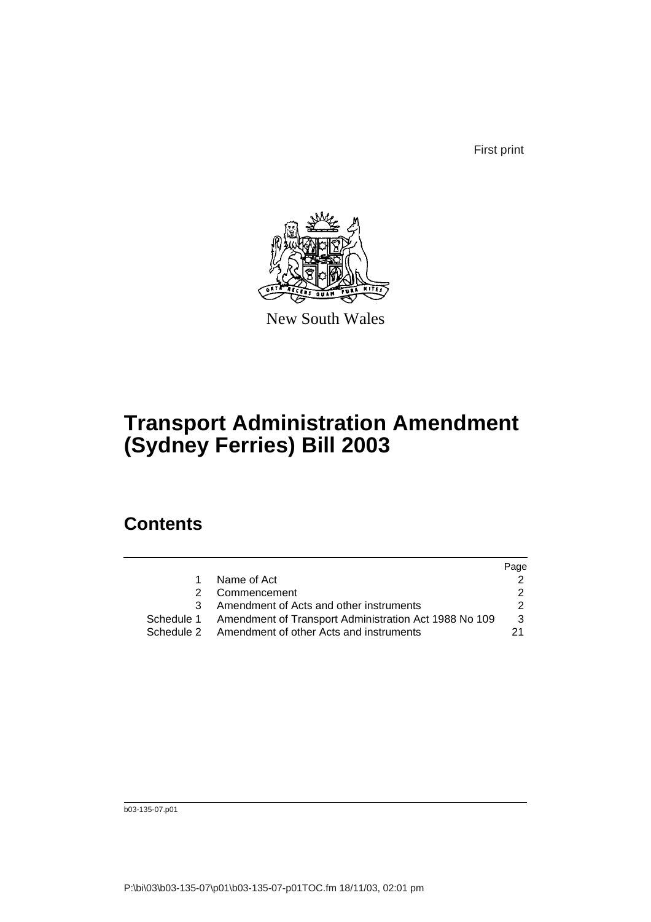First print



New South Wales

## **Transport Administration Amendment (Sydney Ferries) Bill 2003**

## **Contents**

|               |                                                                  | Page |
|---------------|------------------------------------------------------------------|------|
| 1             | Name of Act                                                      |      |
|               | 2 Commencement                                                   | 2    |
| $\mathcal{S}$ | Amendment of Acts and other instruments                          | 2    |
|               | Schedule 1 Amendment of Transport Administration Act 1988 No 109 | 3    |
|               | Schedule 2 Amendment of other Acts and instruments               |      |

b03-135-07.p01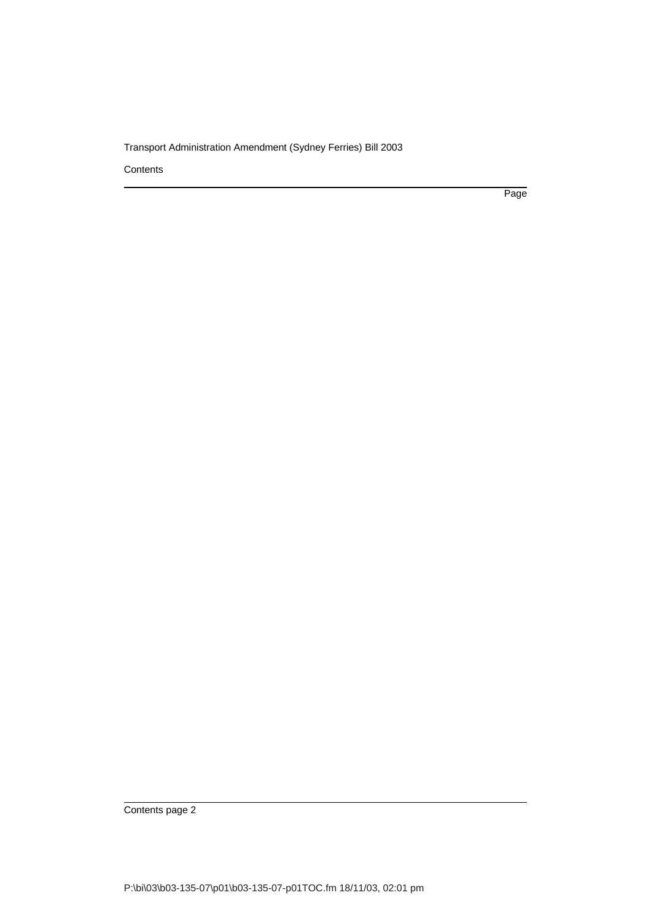**Contents** 

Page

Contents page 2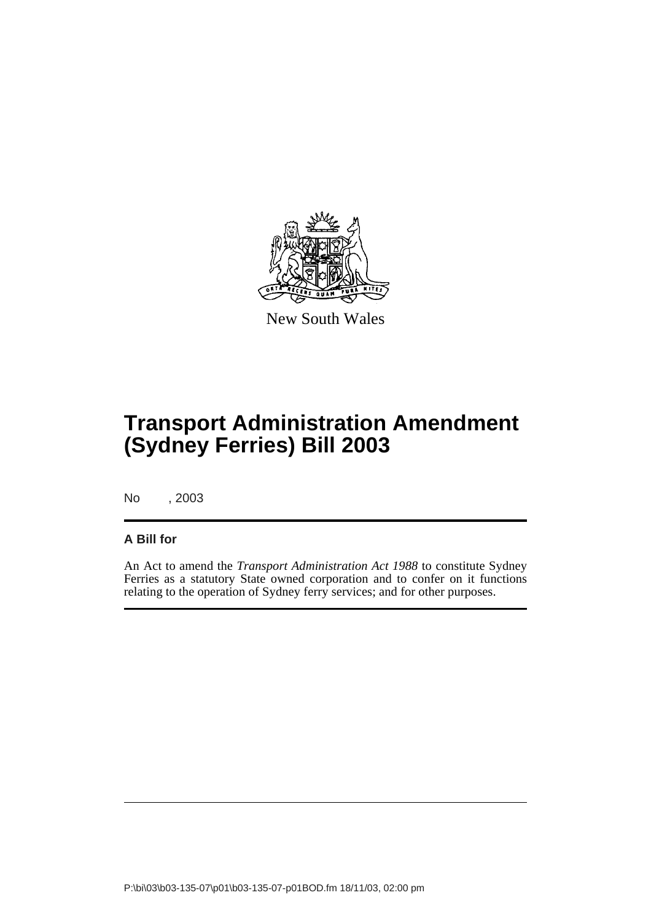

New South Wales

# **Transport Administration Amendment (Sydney Ferries) Bill 2003**

No , 2003

## **A Bill for**

An Act to amend the *Transport Administration Act 1988* to constitute Sydney Ferries as a statutory State owned corporation and to confer on it functions relating to the operation of Sydney ferry services; and for other purposes.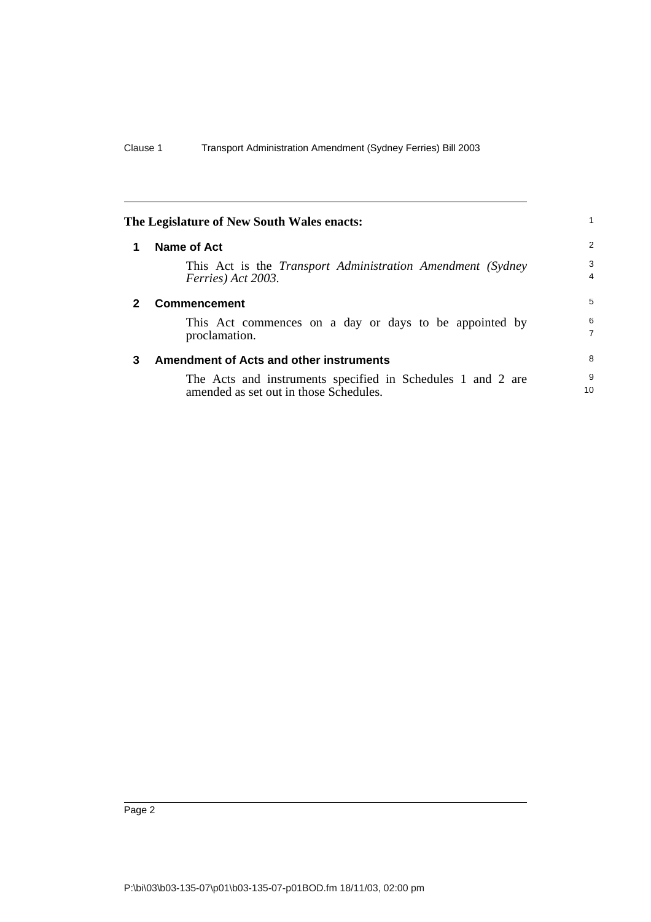<span id="page-9-2"></span><span id="page-9-1"></span><span id="page-9-0"></span>

|   | The Legislature of New South Wales enacts:                                                            |                     |  |  |
|---|-------------------------------------------------------------------------------------------------------|---------------------|--|--|
| 1 | Name of Act                                                                                           | 2                   |  |  |
|   | This Act is the <i>Transport Administration Amendment (Sydney</i><br>Ferries) Act 2003.               | 3<br>$\overline{4}$ |  |  |
| 2 | <b>Commencement</b>                                                                                   | 5                   |  |  |
|   | This Act commences on a day or days to be appointed by<br>proclamation.                               | 6<br>7              |  |  |
| 3 | <b>Amendment of Acts and other instruments</b>                                                        | 8                   |  |  |
|   | The Acts and instruments specified in Schedules 1 and 2 are<br>amended as set out in those Schedules. | 9<br>10             |  |  |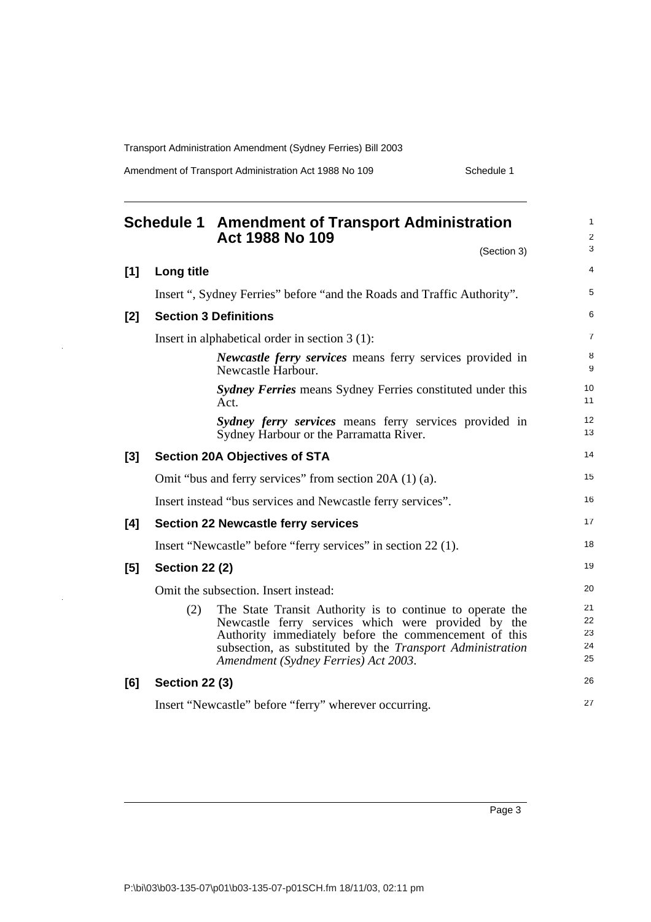Amendment of Transport Administration Act 1988 No 109 Schedule 1

<span id="page-10-0"></span>

|       |                       | <b>Schedule 1 Amendment of Transport Administration</b><br>Act 1988 No 109                                                                                                                                                                                                      | 1<br>$\overline{\mathbf{c}}$ |
|-------|-----------------------|---------------------------------------------------------------------------------------------------------------------------------------------------------------------------------------------------------------------------------------------------------------------------------|------------------------------|
|       |                       | (Section 3)                                                                                                                                                                                                                                                                     | 3                            |
| [1]   | Long title            |                                                                                                                                                                                                                                                                                 | 4                            |
|       |                       | Insert ", Sydney Ferries" before "and the Roads and Traffic Authority".                                                                                                                                                                                                         | 5                            |
| [2]   |                       | <b>Section 3 Definitions</b>                                                                                                                                                                                                                                                    | 6                            |
|       |                       | Insert in alphabetical order in section $3(1)$ :                                                                                                                                                                                                                                | 7                            |
|       |                       | Newcastle ferry services means ferry services provided in<br>Newcastle Harbour.                                                                                                                                                                                                 | 8<br>9                       |
|       |                       | <b>Sydney Ferries</b> means Sydney Ferries constituted under this<br>Act.                                                                                                                                                                                                       | 10<br>11                     |
|       |                       | Sydney ferry services means ferry services provided in<br>Sydney Harbour or the Parramatta River.                                                                                                                                                                               | 12<br>13                     |
| $[3]$ |                       | <b>Section 20A Objectives of STA</b>                                                                                                                                                                                                                                            | 14                           |
|       |                       | Omit "bus and ferry services" from section 20A (1) (a).                                                                                                                                                                                                                         | 15                           |
|       |                       | Insert instead "bus services and Newcastle ferry services".                                                                                                                                                                                                                     | 16                           |
| [4]   |                       | <b>Section 22 Newcastle ferry services</b>                                                                                                                                                                                                                                      | 17                           |
|       |                       | Insert "Newcastle" before "ferry services" in section 22 (1).                                                                                                                                                                                                                   | 18                           |
| [5]   | <b>Section 22 (2)</b> |                                                                                                                                                                                                                                                                                 | 19                           |
|       |                       | Omit the subsection. Insert instead:                                                                                                                                                                                                                                            | 20                           |
|       | (2)                   | The State Transit Authority is to continue to operate the<br>Newcastle ferry services which were provided by the<br>Authority immediately before the commencement of this<br>subsection, as substituted by the Transport Administration<br>Amendment (Sydney Ferries) Act 2003. | 21<br>22<br>23<br>24<br>25   |
| [6]   | <b>Section 22 (3)</b> |                                                                                                                                                                                                                                                                                 | 26                           |
|       |                       | Insert "Newcastle" before "ferry" wherever occurring.                                                                                                                                                                                                                           | 27                           |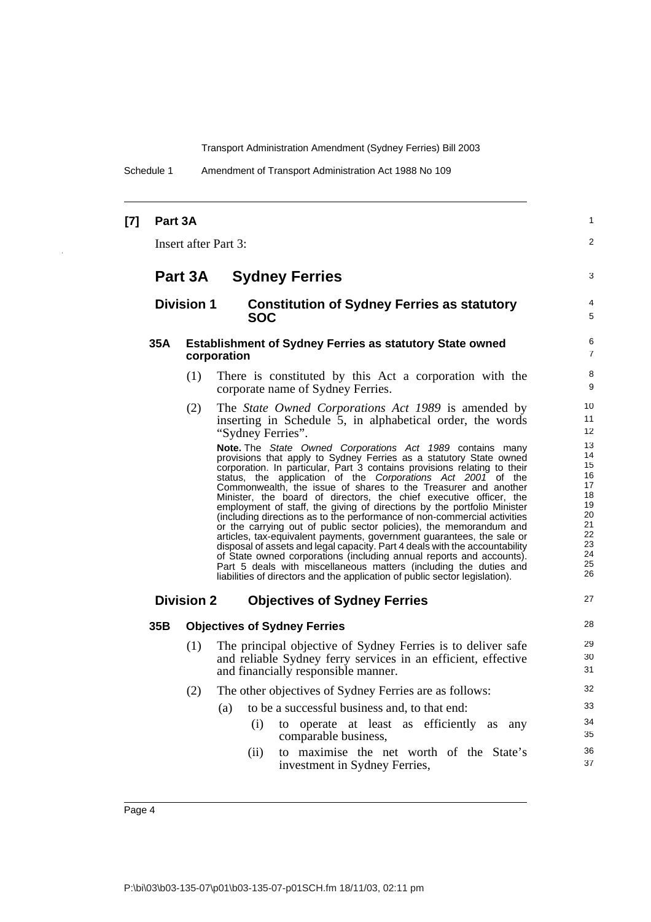Schedule 1 Amendment of Transport Administration Act 1988 No 109

| $[7]$ | Part 3A |                   |                                                                                                                                                                                                                                                                                                                                                                                                                                                                                                                                                                                                                                                                                                                                                                                                                                                                                                                                                                                                                                            | $\mathbf{1}$                                                                     |
|-------|---------|-------------------|--------------------------------------------------------------------------------------------------------------------------------------------------------------------------------------------------------------------------------------------------------------------------------------------------------------------------------------------------------------------------------------------------------------------------------------------------------------------------------------------------------------------------------------------------------------------------------------------------------------------------------------------------------------------------------------------------------------------------------------------------------------------------------------------------------------------------------------------------------------------------------------------------------------------------------------------------------------------------------------------------------------------------------------------|----------------------------------------------------------------------------------|
|       |         |                   | Insert after Part 3:                                                                                                                                                                                                                                                                                                                                                                                                                                                                                                                                                                                                                                                                                                                                                                                                                                                                                                                                                                                                                       | 2                                                                                |
|       |         | Part 3A           | <b>Sydney Ferries</b>                                                                                                                                                                                                                                                                                                                                                                                                                                                                                                                                                                                                                                                                                                                                                                                                                                                                                                                                                                                                                      | 3                                                                                |
|       |         | <b>Division 1</b> | <b>Constitution of Sydney Ferries as statutory</b><br><b>SOC</b>                                                                                                                                                                                                                                                                                                                                                                                                                                                                                                                                                                                                                                                                                                                                                                                                                                                                                                                                                                           | 4<br>5                                                                           |
|       | 35A     |                   | <b>Establishment of Sydney Ferries as statutory State owned</b><br>corporation                                                                                                                                                                                                                                                                                                                                                                                                                                                                                                                                                                                                                                                                                                                                                                                                                                                                                                                                                             | 6<br>$\overline{7}$                                                              |
|       |         | (1)               | There is constituted by this Act a corporation with the<br>corporate name of Sydney Ferries.                                                                                                                                                                                                                                                                                                                                                                                                                                                                                                                                                                                                                                                                                                                                                                                                                                                                                                                                               | 8<br>9                                                                           |
|       |         | (2)               | The <i>State Owned Corporations Act 1989</i> is amended by<br>inserting in Schedule 5, in alphabetical order, the words<br>"Sydney Ferries".                                                                                                                                                                                                                                                                                                                                                                                                                                                                                                                                                                                                                                                                                                                                                                                                                                                                                               | 10<br>11<br>12 <sup>2</sup>                                                      |
|       |         |                   | <b>Note.</b> The State Owned Corporations Act 1989 contains many<br>provisions that apply to Sydney Ferries as a statutory State owned<br>corporation. In particular, Part 3 contains provisions relating to their<br>status, the application of the Corporations Act 2001 of the<br>Commonwealth, the issue of shares to the Treasurer and another<br>Minister, the board of directors, the chief executive officer, the<br>employment of staff, the giving of directions by the portfolio Minister<br>(including directions as to the performance of non-commercial activities<br>or the carrying out of public sector policies), the memorandum and<br>articles, tax-equivalent payments, government guarantees, the sale or<br>disposal of assets and legal capacity. Part 4 deals with the accountability<br>of State owned corporations (including annual reports and accounts).<br>Part 5 deals with miscellaneous matters (including the duties and<br>liabilities of directors and the application of public sector legislation). | 13<br>14<br>15<br>16<br>17<br>18<br>19<br>20<br>21<br>22<br>23<br>24<br>25<br>26 |
|       |         | <b>Division 2</b> | <b>Objectives of Sydney Ferries</b>                                                                                                                                                                                                                                                                                                                                                                                                                                                                                                                                                                                                                                                                                                                                                                                                                                                                                                                                                                                                        | 27                                                                               |
|       | 35B     |                   | <b>Objectives of Sydney Ferries</b>                                                                                                                                                                                                                                                                                                                                                                                                                                                                                                                                                                                                                                                                                                                                                                                                                                                                                                                                                                                                        | 28                                                                               |
|       |         | (1)               | The principal objective of Sydney Ferries is to deliver safe<br>and reliable Sydney ferry services in an efficient, effective<br>and financially responsible manner.                                                                                                                                                                                                                                                                                                                                                                                                                                                                                                                                                                                                                                                                                                                                                                                                                                                                       | 29<br>30<br>31                                                                   |
|       |         | (2)               | The other objectives of Sydney Ferries are as follows:                                                                                                                                                                                                                                                                                                                                                                                                                                                                                                                                                                                                                                                                                                                                                                                                                                                                                                                                                                                     | 32                                                                               |
|       |         |                   | to be a successful business and, to that end:<br>(a)<br>to operate at least as efficiently as any<br>(i)<br>comparable business,                                                                                                                                                                                                                                                                                                                                                                                                                                                                                                                                                                                                                                                                                                                                                                                                                                                                                                           | 33<br>34<br>35<br>36                                                             |
|       |         |                   | to maximise the net worth of the State's<br>(ii)<br>investment in Sydney Ferries,                                                                                                                                                                                                                                                                                                                                                                                                                                                                                                                                                                                                                                                                                                                                                                                                                                                                                                                                                          | 37                                                                               |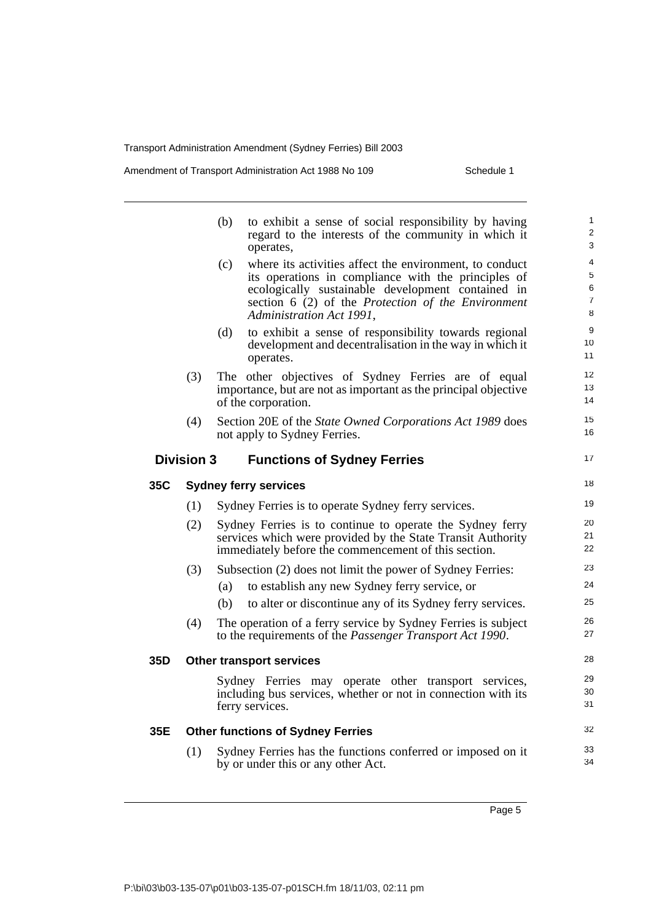### Amendment of Transport Administration Act 1988 No 109 Schedule 1

|     |                   | (b)<br>to exhibit a sense of social responsibility by having<br>regard to the interests of the community in which it<br>operates,                                                                                                                                    | $\mathbf{1}$<br>$\overline{2}$<br>3                      |
|-----|-------------------|----------------------------------------------------------------------------------------------------------------------------------------------------------------------------------------------------------------------------------------------------------------------|----------------------------------------------------------|
|     |                   | where its activities affect the environment, to conduct<br>(c)<br>its operations in compliance with the principles of<br>ecologically sustainable development contained in<br>section $6(2)$ of the <i>Protection of the Environment</i><br>Administration Act 1991, | $\overline{\mathbf{4}}$<br>5<br>6<br>$\overline{7}$<br>8 |
|     |                   | to exhibit a sense of responsibility towards regional<br>(d)<br>development and decentralisation in the way in which it<br>operates.                                                                                                                                 | 9<br>10<br>11                                            |
|     | (3)               | The other objectives of Sydney Ferries are of equal<br>importance, but are not as important as the principal objective<br>of the corporation.                                                                                                                        | 12<br>13<br>14                                           |
|     | (4)               | Section 20E of the State Owned Corporations Act 1989 does<br>not apply to Sydney Ferries.                                                                                                                                                                            | 15<br>16                                                 |
|     | <b>Division 3</b> | <b>Functions of Sydney Ferries</b>                                                                                                                                                                                                                                   | 17                                                       |
| 35C |                   | <b>Sydney ferry services</b>                                                                                                                                                                                                                                         | 18                                                       |
|     |                   |                                                                                                                                                                                                                                                                      |                                                          |
|     | (1)               | Sydney Ferries is to operate Sydney ferry services.                                                                                                                                                                                                                  | 19                                                       |
|     | (2)               | Sydney Ferries is to continue to operate the Sydney ferry<br>services which were provided by the State Transit Authority<br>immediately before the commencement of this section.                                                                                     | 20<br>21<br>22                                           |
|     | (3)               | Subsection (2) does not limit the power of Sydney Ferries:                                                                                                                                                                                                           | 23                                                       |
|     |                   | to establish any new Sydney ferry service, or<br>(a)                                                                                                                                                                                                                 | 24                                                       |
|     |                   | to alter or discontinue any of its Sydney ferry services.<br>(b)                                                                                                                                                                                                     | 25                                                       |
|     | (4)               | The operation of a ferry service by Sydney Ferries is subject<br>to the requirements of the <i>Passenger Transport Act 1990</i> .                                                                                                                                    | 26<br>27                                                 |
| 35D |                   | <b>Other transport services</b>                                                                                                                                                                                                                                      | 28                                                       |
|     |                   | Sydney Ferries may operate other transport services,<br>including bus services, whether or not in connection with its<br>ferry services.                                                                                                                             | 29<br>30<br>31                                           |
| 35E |                   | <b>Other functions of Sydney Ferries</b>                                                                                                                                                                                                                             | 32                                                       |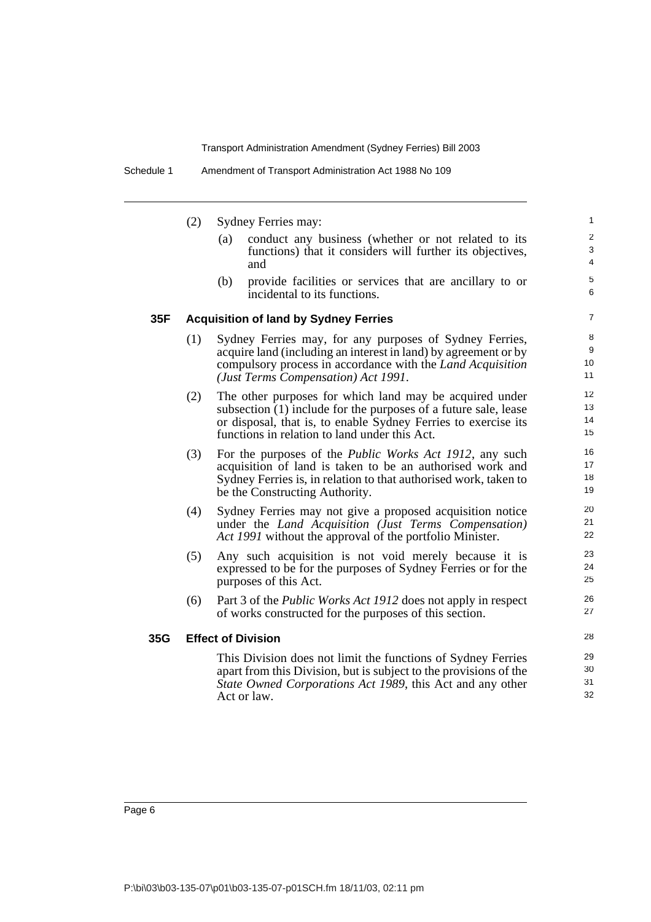|     | (2) | Sydney Ferries may:                                                                                                               | $\mathbf 1$                  |
|-----|-----|-----------------------------------------------------------------------------------------------------------------------------------|------------------------------|
|     |     | conduct any business (whether or not related to its<br>(a)                                                                        | $\overline{\mathbf{c}}$<br>3 |
|     |     | functions) that it considers will further its objectives,<br>and                                                                  | 4                            |
|     |     | (b)<br>provide facilities or services that are ancillary to or<br>incidental to its functions.                                    | 5<br>6                       |
| 35F |     | <b>Acquisition of land by Sydney Ferries</b>                                                                                      | $\overline{7}$               |
|     | (1) | Sydney Ferries may, for any purposes of Sydney Ferries,                                                                           | 8                            |
|     |     | acquire land (including an interest in land) by agreement or by                                                                   | 9<br>10                      |
|     |     | compulsory process in accordance with the <i>Land Acquisition</i><br>(Just Terms Compensation) Act 1991.                          | 11                           |
|     | (2) | The other purposes for which land may be acquired under                                                                           | 12                           |
|     |     | subsection (1) include for the purposes of a future sale, lease<br>or disposal, that is, to enable Sydney Ferries to exercise its | 13<br>14                     |
|     |     | functions in relation to land under this Act.                                                                                     | 15                           |
|     | (3) | For the purposes of the <i>Public Works Act 1912</i> , any such                                                                   | 16                           |
|     |     | acquisition of land is taken to be an authorised work and                                                                         | 17<br>18                     |
|     |     | Sydney Ferries is, in relation to that authorised work, taken to<br>be the Constructing Authority.                                | 19                           |
|     | (4) | Sydney Ferries may not give a proposed acquisition notice                                                                         | 20                           |
|     |     | under the Land Acquisition (Just Terms Compensation)<br>Act 1991 without the approval of the portfolio Minister.                  | 21<br>22                     |
|     | (5) | Any such acquisition is not void merely because it is                                                                             | 23                           |
|     |     | expressed to be for the purposes of Sydney Ferries or for the<br>purposes of this Act.                                            | 24<br>25                     |
|     | (6) | Part 3 of the <i>Public Works Act 1912</i> does not apply in respect<br>of works constructed for the purposes of this section.    | 26<br>27                     |
| 35G |     | <b>Effect of Division</b>                                                                                                         | 28                           |
|     |     | This Division does not limit the functions of Sydney Ferries                                                                      | 29                           |
|     |     | apart from this Division, but is subject to the provisions of the                                                                 | 30                           |
|     |     | State Owned Corporations Act 1989, this Act and any other<br>Act or law.                                                          | 31<br>32                     |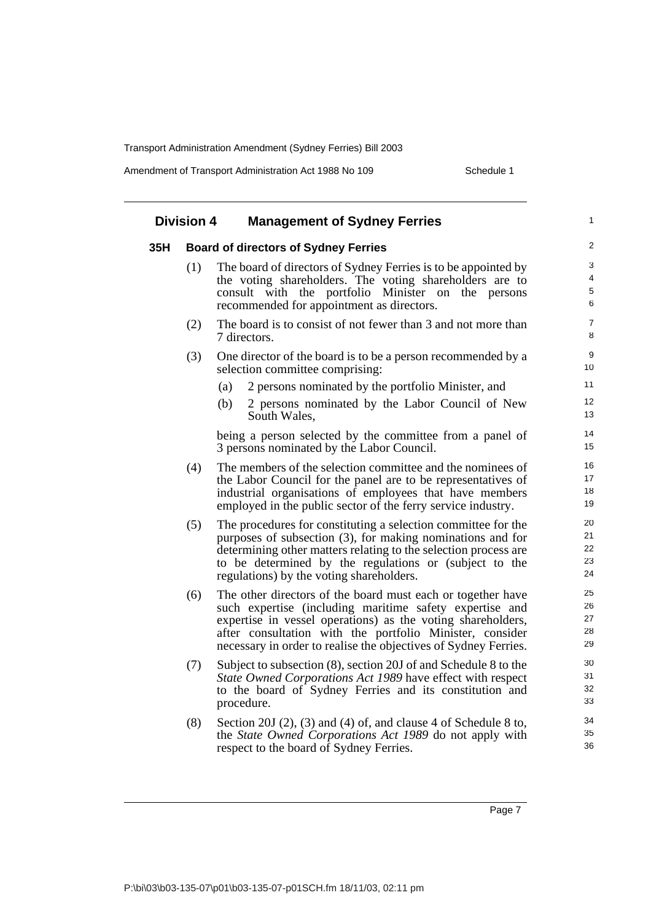Amendment of Transport Administration Act 1988 No 109 Schedule 1

|     | <b>Division 4</b> | <b>Management of Sydney Ferries</b>                                                                                                                                                                                                                                                                                  | 1                          |
|-----|-------------------|----------------------------------------------------------------------------------------------------------------------------------------------------------------------------------------------------------------------------------------------------------------------------------------------------------------------|----------------------------|
| 35H |                   | <b>Board of directors of Sydney Ferries</b>                                                                                                                                                                                                                                                                          | $\overline{c}$             |
|     | (1)               | The board of directors of Sydney Ferries is to be appointed by<br>the voting shareholders. The voting shareholders are to<br>consult with the portfolio Minister on the persons<br>recommended for appointment as directors.                                                                                         | 3<br>4<br>5<br>6           |
|     | (2)               | The board is to consist of not fewer than 3 and not more than<br>7 directors.                                                                                                                                                                                                                                        | 7<br>8                     |
|     | (3)               | One director of the board is to be a person recommended by a<br>selection committee comprising:                                                                                                                                                                                                                      | 9<br>10                    |
|     |                   | 2 persons nominated by the portfolio Minister, and<br>(a)                                                                                                                                                                                                                                                            | 11                         |
|     |                   | (b)<br>2 persons nominated by the Labor Council of New<br>South Wales,                                                                                                                                                                                                                                               | 12<br>13                   |
|     |                   | being a person selected by the committee from a panel of<br>3 persons nominated by the Labor Council.                                                                                                                                                                                                                | 14<br>15                   |
|     | (4)               | The members of the selection committee and the nominees of<br>the Labor Council for the panel are to be representatives of<br>industrial organisations of employees that have members<br>employed in the public sector of the ferry service industry.                                                                | 16<br>17<br>18<br>19       |
|     | (5)               | The procedures for constituting a selection committee for the<br>purposes of subsection (3), for making nominations and for<br>determining other matters relating to the selection process are<br>to be determined by the regulations or (subject to the<br>regulations) by the voting shareholders.                 | 20<br>21<br>22<br>23<br>24 |
|     | (6)               | The other directors of the board must each or together have<br>such expertise (including maritime safety expertise and<br>expertise in vessel operations) as the voting shareholders,<br>after consultation with the portfolio Minister, consider<br>necessary in order to realise the objectives of Sydney Ferries. | 25<br>26<br>27<br>28<br>29 |
|     | (7)               | Subject to subsection (8), section 20J of and Schedule 8 to the<br>State Owned Corporations Act 1989 have effect with respect<br>to the board of Sydney Ferries and its constitution and<br>procedure.                                                                                                               | 30<br>31<br>32<br>33       |
|     | (8)               | Section 20J $(2)$ , $(3)$ and $(4)$ of, and clause 4 of Schedule 8 to,<br>the State Owned Corporations Act 1989 do not apply with<br>respect to the board of Sydney Ferries.                                                                                                                                         | 34<br>35<br>36             |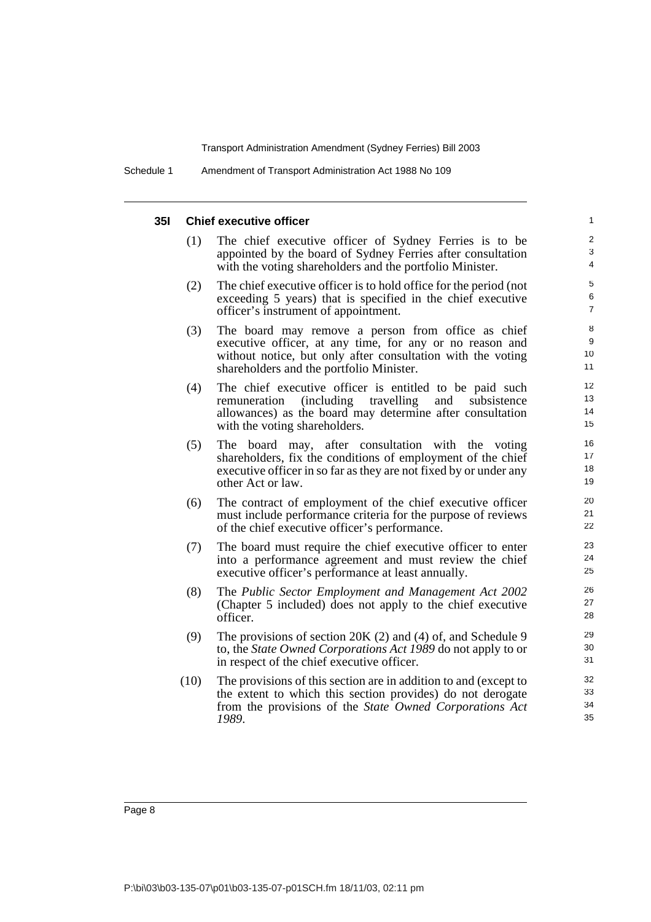#### **35I Chief executive officer** (1) The chief executive officer of Sydney Ferries is to be appointed by the board of Sydney Ferries after consultation with the voting shareholders and the portfolio Minister. (2) The chief executive officer is to hold office for the period (not exceeding 5 years) that is specified in the chief executive officer's instrument of appointment. (3) The board may remove a person from office as chief executive officer, at any time, for any or no reason and without notice, but only after consultation with the voting shareholders and the portfolio Minister. (4) The chief executive officer is entitled to be paid such remuneration (including travelling and subsistence allowances) as the board may determine after consultation with the voting shareholders. (5) The board may, after consultation with the voting shareholders, fix the conditions of employment of the chief executive officer in so far as they are not fixed by or under any other Act or law. (6) The contract of employment of the chief executive officer must include performance criteria for the purpose of reviews of the chief executive officer's performance. (7) The board must require the chief executive officer to enter into a performance agreement and must review the chief executive officer's performance at least annually. (8) The *Public Sector Employment and Management Act 2002* (Chapter 5 included) does not apply to the chief executive officer. (9) The provisions of section 20K (2) and (4) of, and Schedule 9 to, the *State Owned Corporations Act 1989* do not apply to or in respect of the chief executive officer. (10) The provisions of this section are in addition to and (except to the extent to which this section provides) do not derogate from the provisions of the *State Owned Corporations Act 1989*. 1 2 3 4 5 6 7 8 9 10 11 12 13 14 15 16 17 18 19 20 21 22 23 24 25 26 27 28 29 30 31 32 33 34 35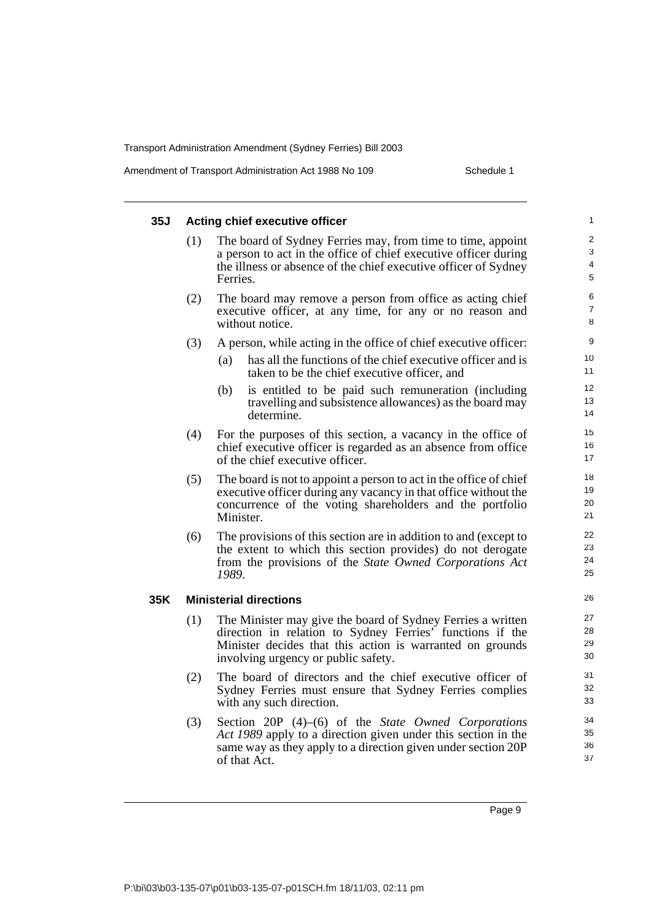| 35J |     | Acting chief executive officer                                                                                                                                                                                               | $\mathbf{1}$                           |
|-----|-----|------------------------------------------------------------------------------------------------------------------------------------------------------------------------------------------------------------------------------|----------------------------------------|
|     | (1) | The board of Sydney Ferries may, from time to time, appoint<br>a person to act in the office of chief executive officer during<br>the illness or absence of the chief executive officer of Sydney<br>Ferries.                | $\overline{\mathbf{c}}$<br>3<br>4<br>5 |
|     | (2) | The board may remove a person from office as acting chief<br>executive officer, at any time, for any or no reason and<br>without notice.                                                                                     | 6<br>$\overline{7}$<br>8               |
|     | (3) | A person, while acting in the office of chief executive officer:                                                                                                                                                             | 9                                      |
|     |     | has all the functions of the chief executive officer and is<br>(a)<br>taken to be the chief executive officer, and                                                                                                           | 10<br>11                               |
|     |     | is entitled to be paid such remuneration (including<br>(b)<br>travelling and subsistence allowances) as the board may<br>determine.                                                                                          | 12<br>13<br>14                         |
|     | (4) | For the purposes of this section, a vacancy in the office of<br>chief executive officer is regarded as an absence from office<br>of the chief executive officer.                                                             | 15<br>16<br>17                         |
|     | (5) | The board is not to appoint a person to act in the office of chief<br>executive officer during any vacancy in that office without the<br>concurrence of the voting shareholders and the portfolio<br>Minister.               | 18<br>19<br>20<br>21                   |
|     | (6) | The provisions of this section are in addition to and (except to<br>the extent to which this section provides) do not derogate<br>from the provisions of the State Owned Corporations Act<br>1989.                           | 22<br>23<br>24<br>25                   |
| 35K |     | <b>Ministerial directions</b>                                                                                                                                                                                                | 26                                     |
|     | (1) | The Minister may give the board of Sydney Ferries a written<br>direction in relation to Sydney Ferries' functions if the<br>Minister decides that this action is warranted on grounds<br>involving urgency or public safety. | 27<br>28<br>29<br>30                   |
|     | (2) | The board of directors and the chief executive officer of<br>Sydney Ferries must ensure that Sydney Ferries complies<br>with any such direction.                                                                             | 31<br>32<br>33                         |
|     | (3) | Section 20P $(4)$ – $(6)$ of the State Owned Corporations<br>Act 1989 apply to a direction given under this section in the<br>same way as they apply to a direction given under section 20P<br>of that Act.                  | 34<br>35<br>36<br>37                   |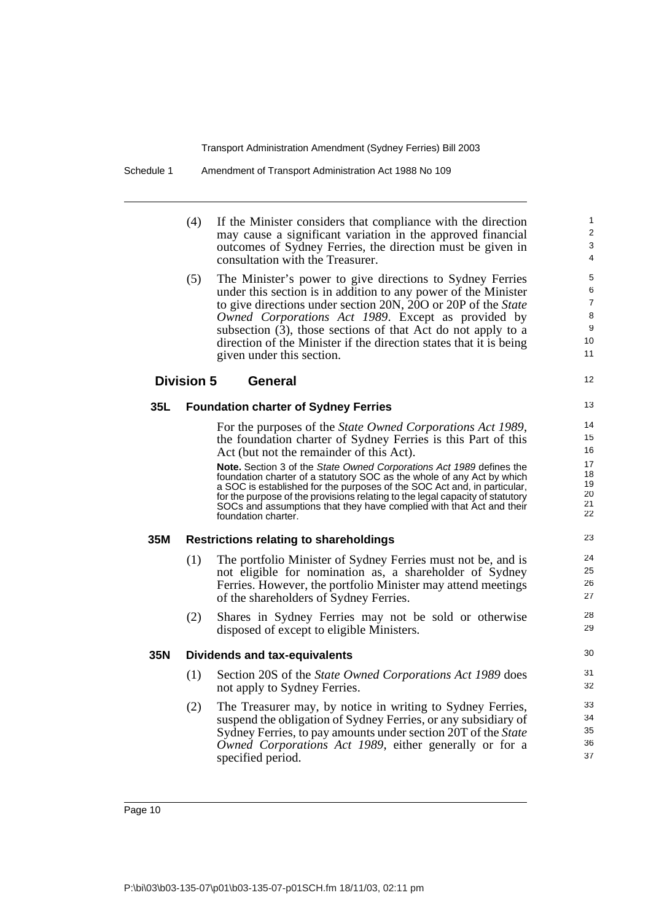|     | (4)               | If the Minister considers that compliance with the direction<br>may cause a significant variation in the approved financial                           | $\mathbf{1}$<br>2 |
|-----|-------------------|-------------------------------------------------------------------------------------------------------------------------------------------------------|-------------------|
|     |                   | outcomes of Sydney Ferries, the direction must be given in<br>consultation with the Treasurer.                                                        | 3<br>4            |
|     | (5)               | The Minister's power to give directions to Sydney Ferries                                                                                             | 5                 |
|     |                   | under this section is in addition to any power of the Minister                                                                                        | 6                 |
|     |                   | to give directions under section 20N, 20O or 20P of the State                                                                                         | $\boldsymbol{7}$  |
|     |                   | Owned Corporations Act 1989. Except as provided by                                                                                                    | 8<br>9            |
|     |                   | subsection (3), those sections of that Act do not apply to a                                                                                          | 10                |
|     |                   | direction of the Minister if the direction states that it is being<br>given under this section.                                                       | 11                |
|     | <b>Division 5</b> | <b>General</b>                                                                                                                                        | 12                |
| 35L |                   | <b>Foundation charter of Sydney Ferries</b>                                                                                                           | 13                |
|     |                   | For the purposes of the State Owned Corporations Act 1989,                                                                                            | 14                |
|     |                   | the foundation charter of Sydney Ferries is this Part of this                                                                                         | 15                |
|     |                   | Act (but not the remainder of this Act).                                                                                                              | 16                |
|     |                   | Note. Section 3 of the State Owned Corporations Act 1989 defines the<br>foundation charter of a statutory SOC as the whole of any Act by which        | 17<br>18          |
|     |                   | a SOC is established for the purposes of the SOC Act and, in particular,                                                                              | 19                |
|     |                   | for the purpose of the provisions relating to the legal capacity of statutory<br>SOCs and assumptions that they have complied with that Act and their | 20<br>21          |
|     |                   | foundation charter.                                                                                                                                   | 22                |
| 35M |                   | <b>Restrictions relating to shareholdings</b>                                                                                                         | 23                |
|     | (1)               | The portfolio Minister of Sydney Ferries must not be, and is                                                                                          | 24                |
|     |                   | not eligible for nomination as, a shareholder of Sydney                                                                                               | 25                |
|     |                   | Ferries. However, the portfolio Minister may attend meetings<br>of the shareholders of Sydney Ferries.                                                | 26<br>27          |
|     | (2)               | Shares in Sydney Ferries may not be sold or otherwise                                                                                                 | 28                |
|     |                   | disposed of except to eligible Ministers.                                                                                                             | 29                |
| 35N |                   | <b>Dividends and tax-equivalents</b>                                                                                                                  | 30                |
|     | (1)               | Section 20S of the State Owned Corporations Act 1989 does<br>not apply to Sydney Ferries.                                                             | 31<br>32          |
|     | (2)               | The Treasurer may, by notice in writing to Sydney Ferries,                                                                                            | 33                |
|     |                   | suspend the obligation of Sydney Ferries, or any subsidiary of                                                                                        | 34                |
|     |                   | Sydney Ferries, to pay amounts under section 20T of the State                                                                                         | 35                |
|     |                   | Owned Corporations Act 1989, either generally or for a<br>specified period.                                                                           | 36<br>37          |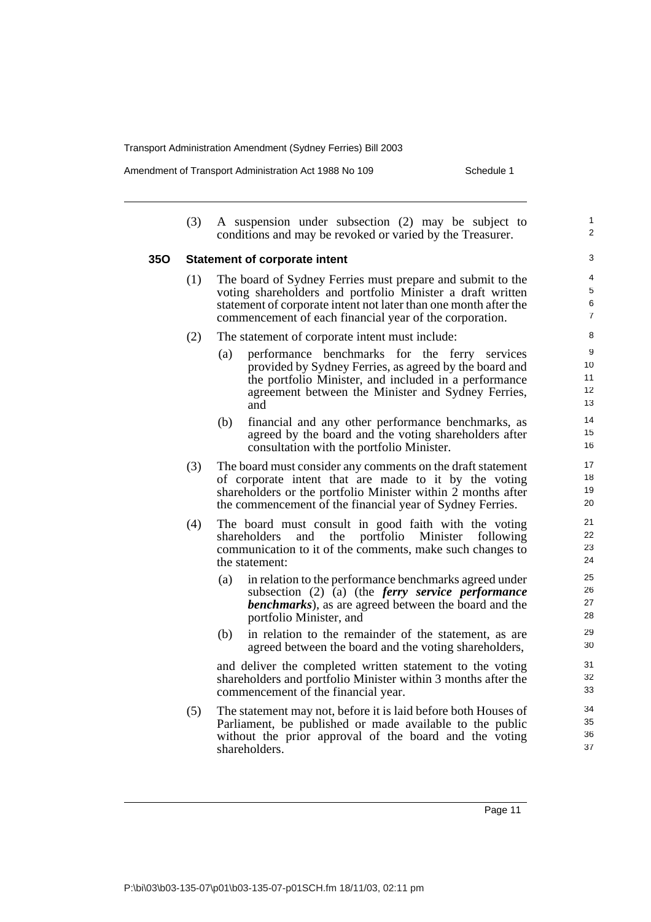Amendment of Transport Administration Act 1988 No 109 Schedule 1

|     | (3) | A suspension under subsection (2) may be subject to<br>conditions and may be revoked or varied by the Treasurer.                                                                                                                                        | $\mathbf{1}$<br>$\overline{2}$ |  |  |  |
|-----|-----|---------------------------------------------------------------------------------------------------------------------------------------------------------------------------------------------------------------------------------------------------------|--------------------------------|--|--|--|
| 35O |     | <b>Statement of corporate intent</b>                                                                                                                                                                                                                    | 3                              |  |  |  |
|     | (1) | The board of Sydney Ferries must prepare and submit to the<br>voting shareholders and portfolio Minister a draft written<br>statement of corporate intent not later than one month after the<br>commencement of each financial year of the corporation. |                                |  |  |  |
|     | (2) | The statement of corporate intent must include:                                                                                                                                                                                                         | 8                              |  |  |  |
|     |     | performance benchmarks for the ferry services<br>(a)<br>provided by Sydney Ferries, as agreed by the board and<br>the portfolio Minister, and included in a performance<br>agreement between the Minister and Sydney Ferries,<br>and                    | 9<br>10<br>11<br>12<br>13      |  |  |  |
|     |     | financial and any other performance benchmarks, as<br>(b)<br>agreed by the board and the voting shareholders after<br>consultation with the portfolio Minister.                                                                                         | 14<br>15<br>16                 |  |  |  |
|     | (3) | The board must consider any comments on the draft statement<br>of corporate intent that are made to it by the voting<br>shareholders or the portfolio Minister within 2 months after<br>the commencement of the financial year of Sydney Ferries.       | 17<br>18<br>19<br>20           |  |  |  |
|     | (4) | The board must consult in good faith with the voting<br>and the portfolio Minister following<br>shareholders<br>communication to it of the comments, make such changes to<br>the statement:                                                             | 21<br>22<br>23<br>24           |  |  |  |
|     |     | in relation to the performance benchmarks agreed under<br>(a)<br>subsection $(2)$ (a) (the <i>ferry service performance</i><br><b>benchmarks</b> ), as are agreed between the board and the<br>portfolio Minister, and                                  | 25<br>26<br>27<br>28           |  |  |  |
|     |     | in relation to the remainder of the statement, as are<br>(b)<br>agreed between the board and the voting shareholders,                                                                                                                                   | 29<br>30                       |  |  |  |
|     |     | and deliver the completed written statement to the voting<br>shareholders and portfolio Minister within 3 months after the<br>commencement of the financial year.                                                                                       | 31<br>32<br>33                 |  |  |  |
|     | (5) | The statement may not, before it is laid before both Houses of<br>Parliament, be published or made available to the public<br>without the prior approval of the board and the voting<br>shareholders.                                                   | 34<br>35<br>36<br>37           |  |  |  |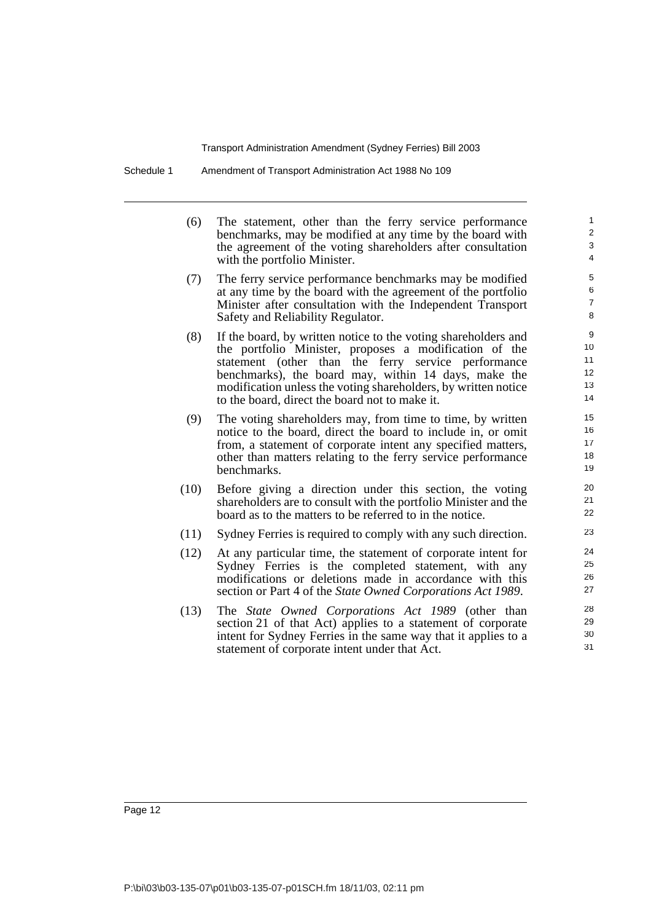(6) The statement, other than the ferry service performance benchmarks, may be modified at any time by the board with the agreement of the voting shareholders after consultation with the portfolio Minister.

- (7) The ferry service performance benchmarks may be modified at any time by the board with the agreement of the portfolio Minister after consultation with the Independent Transport Safety and Reliability Regulator.
- (8) If the board, by written notice to the voting shareholders and the portfolio Minister, proposes a modification of the statement (other than the ferry service performance benchmarks), the board may, within 14 days, make the modification unless the voting shareholders, by written notice to the board, direct the board not to make it.
- (9) The voting shareholders may, from time to time, by written notice to the board, direct the board to include in, or omit from, a statement of corporate intent any specified matters, other than matters relating to the ferry service performance benchmarks.
- (10) Before giving a direction under this section, the voting shareholders are to consult with the portfolio Minister and the board as to the matters to be referred to in the notice.
- (11) Sydney Ferries is required to comply with any such direction.
- (12) At any particular time, the statement of corporate intent for Sydney Ferries is the completed statement, with any modifications or deletions made in accordance with this section or Part 4 of the *State Owned Corporations Act 1989*.
- (13) The *State Owned Corporations Act 1989* (other than section 21 of that Act) applies to a statement of corporate intent for Sydney Ferries in the same way that it applies to a statement of corporate intent under that Act.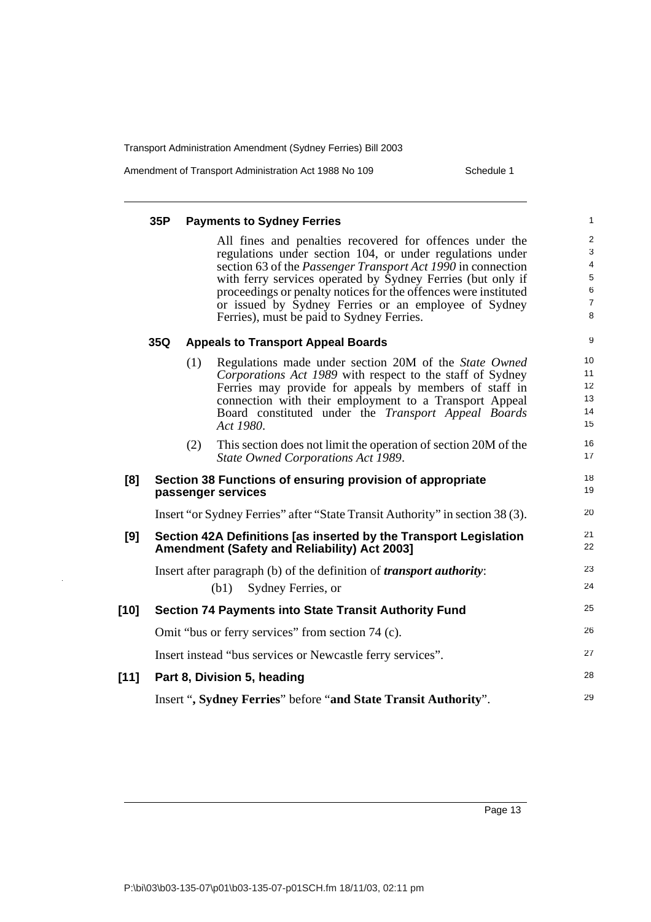Amendment of Transport Administration Act 1988 No 109 Schedule 1

 $\ddot{\phantom{a}}$ 

|        | 35P |     | <b>Payments to Sydney Ferries</b>                                                                                                                                                                                                                                                                                                                                                                                                   | 1                                                     |
|--------|-----|-----|-------------------------------------------------------------------------------------------------------------------------------------------------------------------------------------------------------------------------------------------------------------------------------------------------------------------------------------------------------------------------------------------------------------------------------------|-------------------------------------------------------|
|        |     |     | All fines and penalties recovered for offences under the<br>regulations under section 104, or under regulations under<br>section 63 of the <i>Passenger Transport Act 1990</i> in connection<br>with ferry services operated by Sydney Ferries (but only if<br>proceedings or penalty notices for the offences were instituted<br>or issued by Sydney Ferries or an employee of Sydney<br>Ferries), must be paid to Sydney Ferries. | $\overline{\mathbf{c}}$<br>3<br>4<br>5<br>6<br>7<br>8 |
|        | 35Q |     | <b>Appeals to Transport Appeal Boards</b>                                                                                                                                                                                                                                                                                                                                                                                           | 9                                                     |
|        |     | (1) | Regulations made under section 20M of the State Owned<br>Corporations Act 1989 with respect to the staff of Sydney<br>Ferries may provide for appeals by members of staff in<br>connection with their employment to a Transport Appeal<br>Board constituted under the Transport Appeal Boards<br>Act 1980.                                                                                                                          | 10<br>11<br>12<br>13<br>14<br>15                      |
|        |     | (2) | This section does not limit the operation of section 20M of the<br>State Owned Corporations Act 1989.                                                                                                                                                                                                                                                                                                                               | 16<br>17                                              |
| [8]    |     |     | Section 38 Functions of ensuring provision of appropriate<br>passenger services                                                                                                                                                                                                                                                                                                                                                     | 18<br>19                                              |
|        |     |     | Insert "or Sydney Ferries" after "State Transit Authority" in section 38 (3).                                                                                                                                                                                                                                                                                                                                                       | 20                                                    |
| [9]    |     |     | Section 42A Definitions [as inserted by the Transport Legislation<br>Amendment (Safety and Reliability) Act 2003]                                                                                                                                                                                                                                                                                                                   | 21<br>22                                              |
|        |     |     | Insert after paragraph (b) of the definition of <i>transport authority</i> :                                                                                                                                                                                                                                                                                                                                                        | 23                                                    |
|        |     |     | (b1)<br>Sydney Ferries, or                                                                                                                                                                                                                                                                                                                                                                                                          | 24                                                    |
| $[10]$ |     |     | <b>Section 74 Payments into State Transit Authority Fund</b>                                                                                                                                                                                                                                                                                                                                                                        | 25                                                    |
|        |     |     | Omit "bus or ferry services" from section 74 (c).                                                                                                                                                                                                                                                                                                                                                                                   | 26                                                    |
|        |     |     | Insert instead "bus services or Newcastle ferry services".                                                                                                                                                                                                                                                                                                                                                                          | 27                                                    |
| $[11]$ |     |     | Part 8, Division 5, heading                                                                                                                                                                                                                                                                                                                                                                                                         | 28                                                    |
|        |     |     | Insert ", Sydney Ferries" before "and State Transit Authority".                                                                                                                                                                                                                                                                                                                                                                     | 29                                                    |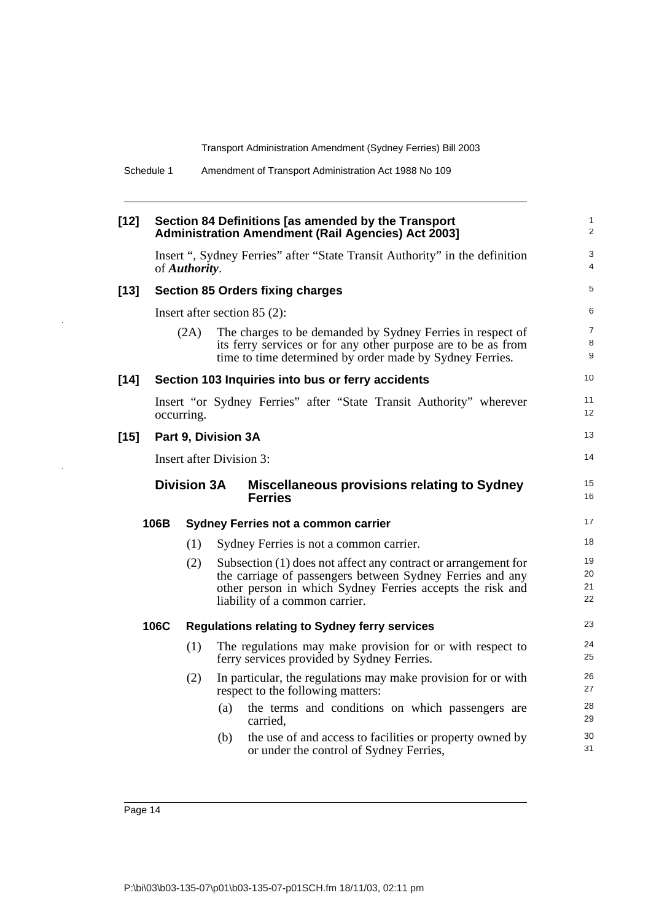Schedule 1 Amendment of Transport Administration Act 1988 No 109

| $[12]$ |      |                       | Section 84 Definitions [as amended by the Transport<br><b>Administration Amendment (Rail Agencies) Act 2003]</b>                                                                                                           | 1<br>2                   |
|--------|------|-----------------------|----------------------------------------------------------------------------------------------------------------------------------------------------------------------------------------------------------------------------|--------------------------|
|        |      | of <b>Authority</b> . | Insert ", Sydney Ferries" after "State Transit Authority" in the definition                                                                                                                                                | 3<br>4                   |
| $[13]$ |      |                       | <b>Section 85 Orders fixing charges</b>                                                                                                                                                                                    | 5                        |
|        |      |                       | Insert after section 85 (2):                                                                                                                                                                                               | 6                        |
|        |      | (2A)                  | The charges to be demanded by Sydney Ferries in respect of<br>its ferry services or for any other purpose are to be as from<br>time to time determined by order made by Sydney Ferries.                                    | $\overline{7}$<br>8<br>9 |
| $[14]$ |      |                       | Section 103 Inquiries into bus or ferry accidents                                                                                                                                                                          | 10                       |
|        |      | occurring.            | Insert "or Sydney Ferries" after "State Transit Authority" wherever                                                                                                                                                        | 11<br>12                 |
| $[15]$ |      |                       | Part 9, Division 3A                                                                                                                                                                                                        | 13                       |
|        |      |                       | <b>Insert after Division 3:</b>                                                                                                                                                                                            | 14                       |
|        |      | <b>Division 3A</b>    | <b>Miscellaneous provisions relating to Sydney</b><br><b>Ferries</b>                                                                                                                                                       | 15<br>16                 |
|        | 106B |                       | <b>Sydney Ferries not a common carrier</b>                                                                                                                                                                                 | 17                       |
|        |      | (1)                   | Sydney Ferries is not a common carrier.                                                                                                                                                                                    | 18                       |
|        |      | (2)                   | Subsection (1) does not affect any contract or arrangement for<br>the carriage of passengers between Sydney Ferries and any<br>other person in which Sydney Ferries accepts the risk and<br>liability of a common carrier. | 19<br>20<br>21<br>22     |
|        | 106C |                       | <b>Regulations relating to Sydney ferry services</b>                                                                                                                                                                       | 23                       |
|        |      | (1)                   | The regulations may make provision for or with respect to<br>ferry services provided by Sydney Ferries.                                                                                                                    | 24<br>25                 |
|        |      | (2)                   | In particular, the regulations may make provision for or with<br>respect to the following matters:                                                                                                                         | 26<br>27                 |
|        |      |                       | (a)<br>the terms and conditions on which passengers are<br>carried,                                                                                                                                                        | 28<br>29                 |
|        |      |                       | the use of and access to facilities or property owned by<br>(b)<br>or under the control of Sydney Ferries,                                                                                                                 | 30<br>31                 |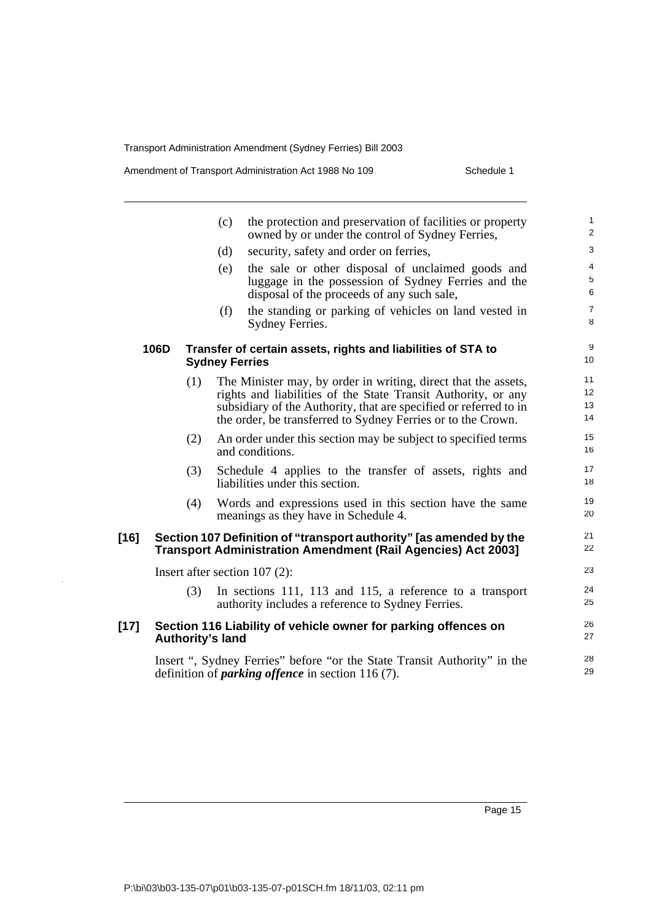$\hat{\mathcal{F}}$ 

|        |      |     | (c)                   | the protection and preservation of facilities or property<br>owned by or under the control of Sydney Ferries,                                                                                                                                                        | $\mathbf{1}$<br>$\overline{2}$ |
|--------|------|-----|-----------------------|----------------------------------------------------------------------------------------------------------------------------------------------------------------------------------------------------------------------------------------------------------------------|--------------------------------|
|        |      |     | (d)                   | security, safety and order on ferries,                                                                                                                                                                                                                               | 3                              |
|        |      |     | (e)                   | the sale or other disposal of unclaimed goods and<br>luggage in the possession of Sydney Ferries and the<br>disposal of the proceeds of any such sale,                                                                                                               | 4<br>5<br>6                    |
|        |      |     | (f)                   | the standing or parking of vehicles on land vested in<br>Sydney Ferries.                                                                                                                                                                                             | $\overline{7}$<br>8            |
|        | 106D |     | <b>Sydney Ferries</b> | Transfer of certain assets, rights and liabilities of STA to                                                                                                                                                                                                         | 9<br>10 <sup>°</sup>           |
|        |      | (1) |                       | The Minister may, by order in writing, direct that the assets,<br>rights and liabilities of the State Transit Authority, or any<br>subsidiary of the Authority, that are specified or referred to in<br>the order, be transferred to Sydney Ferries or to the Crown. | 11<br>12<br>13<br>14           |
|        |      | (2) |                       | An order under this section may be subject to specified terms<br>and conditions.                                                                                                                                                                                     | 15<br>16                       |
|        |      | (3) |                       | Schedule 4 applies to the transfer of assets, rights and<br>liabilities under this section.                                                                                                                                                                          | 17<br>18                       |
|        |      | (4) |                       | Words and expressions used in this section have the same<br>meanings as they have in Schedule 4.                                                                                                                                                                     | 19<br>20                       |
| [16]   |      |     |                       | Section 107 Definition of "transport authority" [as amended by the<br><b>Transport Administration Amendment (Rail Agencies) Act 2003]</b>                                                                                                                            | 21<br>22                       |
|        |      |     |                       | Insert after section $107(2)$ :                                                                                                                                                                                                                                      | 23                             |
|        |      | (3) |                       | In sections 111, 113 and 115, a reference to a transport<br>authority includes a reference to Sydney Ferries.                                                                                                                                                        | 24<br>25                       |
| $[17]$ |      |     | Authority's land      | Section 116 Liability of vehicle owner for parking offences on                                                                                                                                                                                                       | 26<br>27                       |
|        |      |     |                       | Insert ", Sydney Ferries" before "or the State Transit Authority" in the<br>definition of <i>parking offence</i> in section 116 $(7)$ .                                                                                                                              | 28<br>29                       |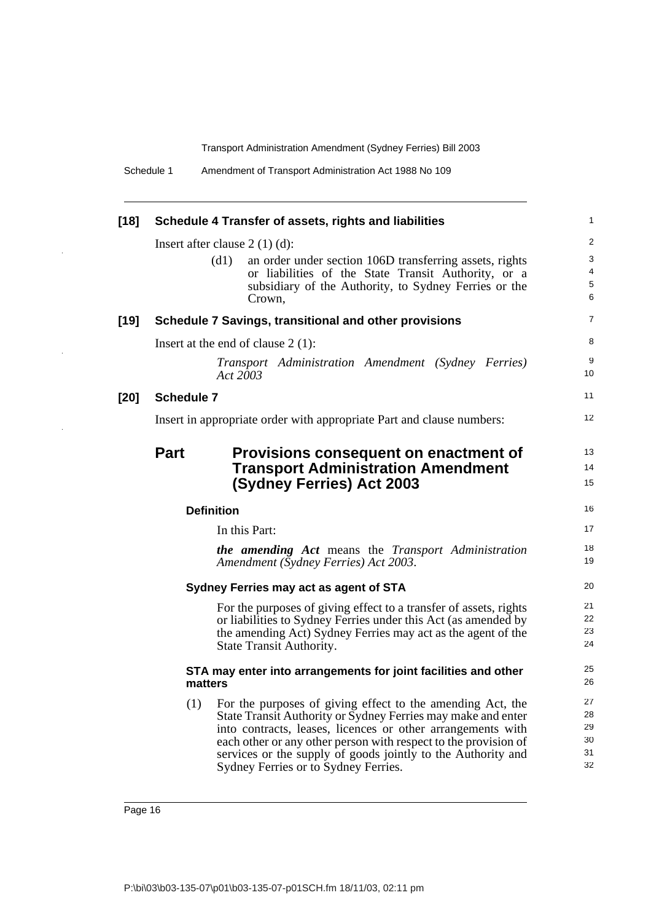7

8 9 10

11

12

13 14 15

Schedule 1 Amendment of Transport Administration Act 1988 No 109

| $[18]$ | Schedule 4 Transfer of assets, rights and liabilities                                                                                                                                     |  |  |  |
|--------|-------------------------------------------------------------------------------------------------------------------------------------------------------------------------------------------|--|--|--|
|        | Insert after clause $2(1)(d)$ :                                                                                                                                                           |  |  |  |
|        | an order under section 106D transferring assets, rights<br>(d1)<br>or liabilities of the State Transit Authority, or a<br>subsidiary of the Authority, to Sydney Ferries or the<br>Crown, |  |  |  |
| [19]   | <b>Schedule 7 Savings, transitional and other provisions</b>                                                                                                                              |  |  |  |
|        | Insert at the end of clause $2(1)$ :                                                                                                                                                      |  |  |  |
|        | Transport Administration Amendment (Sydney Ferries)<br>Act 2003                                                                                                                           |  |  |  |
| [20]   | <b>Schedule 7</b>                                                                                                                                                                         |  |  |  |
|        | Insert in appropriate order with appropriate Part and clause numbers:                                                                                                                     |  |  |  |
|        | <b>Part</b><br>Provisions consequent on enactment of<br><b>Transport Administration Amendment</b><br>(Sydney Ferries) Act 2003                                                            |  |  |  |
|        | <b>Definition</b>                                                                                                                                                                         |  |  |  |
|        | In this Part:                                                                                                                                                                             |  |  |  |
|        | the amending Act means the Transport Administration<br>Amendment (Sydney Ferries) Act 2003.                                                                                               |  |  |  |
|        | Sydney Ferries may act as agent of STA                                                                                                                                                    |  |  |  |

For the purposes of giving effect to a transfer of assets, rights or liabilities to Sydney Ferries under this Act (as amended by the amending Act) Sydney Ferries may act as the agent of the State Transit Authority.

#### **STA may enter into arrangements for joint facilities and other matters**

(1) For the purposes of giving effect to the amending Act, the State Transit Authority or Sydney Ferries may make and enter into contracts, leases, licences or other arrangements with each other or any other person with respect to the provision of services or the supply of goods jointly to the Authority and Sydney Ferries or to Sydney Ferries.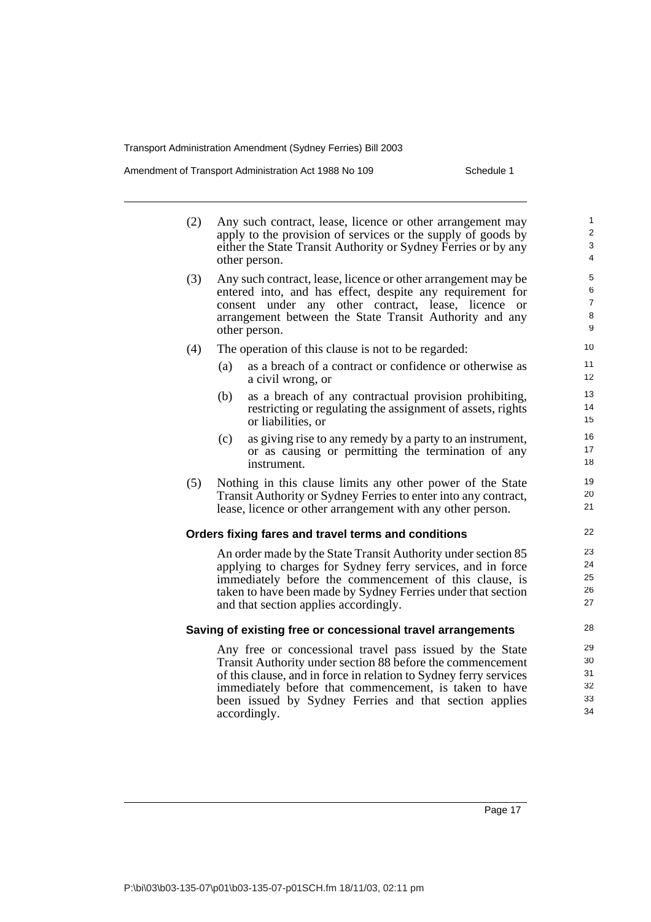Amendment of Transport Administration Act 1988 No 109 Schedule 1

(2) Any such contract, lease, licence or other arrangement may apply to the provision of services or the supply of goods by either the State Transit Authority or Sydney Ferries or by any other person. (3) Any such contract, lease, licence or other arrangement may be entered into, and has effect, despite any requirement for consent under any other contract, lease, licence or arrangement between the State Transit Authority and any other person. (4) The operation of this clause is not to be regarded: (a) as a breach of a contract or confidence or otherwise as a civil wrong, or (b) as a breach of any contractual provision prohibiting, restricting or regulating the assignment of assets, rights or liabilities, or (c) as giving rise to any remedy by a party to an instrument, or as causing or permitting the termination of any instrument. (5) Nothing in this clause limits any other power of the State Transit Authority or Sydney Ferries to enter into any contract, lease, licence or other arrangement with any other person. **Orders fixing fares and travel terms and conditions** An order made by the State Transit Authority under section 85 applying to charges for Sydney ferry services, and in force immediately before the commencement of this clause, is taken to have been made by Sydney Ferries under that section and that section applies accordingly. **Saving of existing free or concessional travel arrangements** Any free or concessional travel pass issued by the State

Transit Authority under section 88 before the commencement of this clause, and in force in relation to Sydney ferry services immediately before that commencement, is taken to have been issued by Sydney Ferries and that section applies accordingly.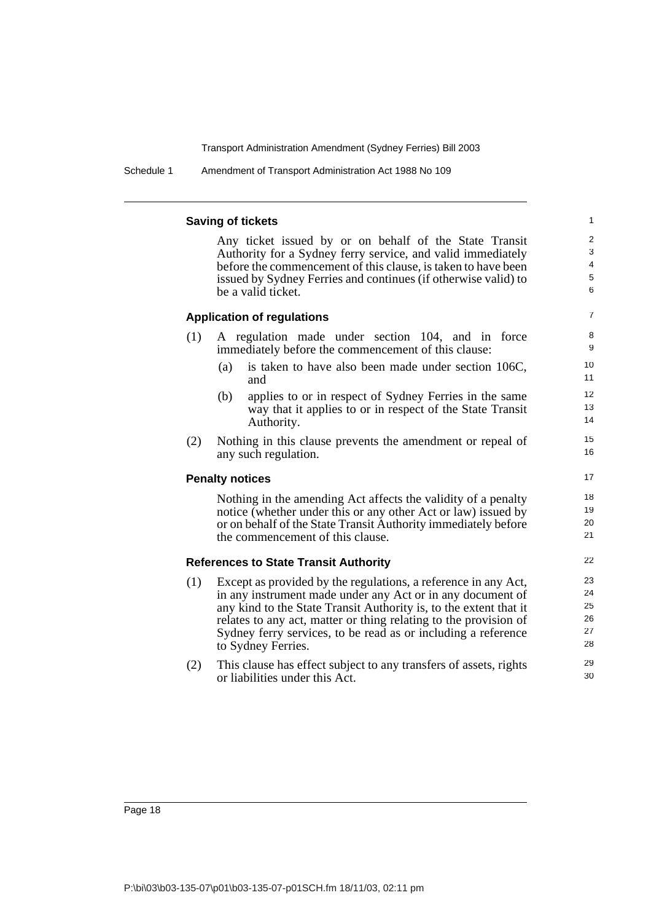Schedule 1 Amendment of Transport Administration Act 1988 No 109

#### **Saving of tickets** Any ticket issued by or on behalf of the State Transit Authority for a Sydney ferry service, and valid immediately before the commencement of this clause, is taken to have been issued by Sydney Ferries and continues (if otherwise valid) to be a valid ticket. **Application of regulations** (1) A regulation made under section 104, and in force immediately before the commencement of this clause: (a) is taken to have also been made under section 106C, and (b) applies to or in respect of Sydney Ferries in the same way that it applies to or in respect of the State Transit Authority. (2) Nothing in this clause prevents the amendment or repeal of any such regulation. **Penalty notices** Nothing in the amending Act affects the validity of a penalty notice (whether under this or any other Act or law) issued by or on behalf of the State Transit Authority immediately before the commencement of this clause. **References to State Transit Authority** (1) Except as provided by the regulations, a reference in any Act, in any instrument made under any Act or in any document of any kind to the State Transit Authority is, to the extent that it relates to any act, matter or thing relating to the provision of Sydney ferry services, to be read as or including a reference to Sydney Ferries. (2) This clause has effect subject to any transfers of assets, rights or liabilities under this Act. 1  $\overline{2}$ 3 4 5 6 7 8 9  $1<sub>0</sub>$ 11 12 13 14 15 16 17 18 19 20 21 22 23 24 25 26 27 28 29 30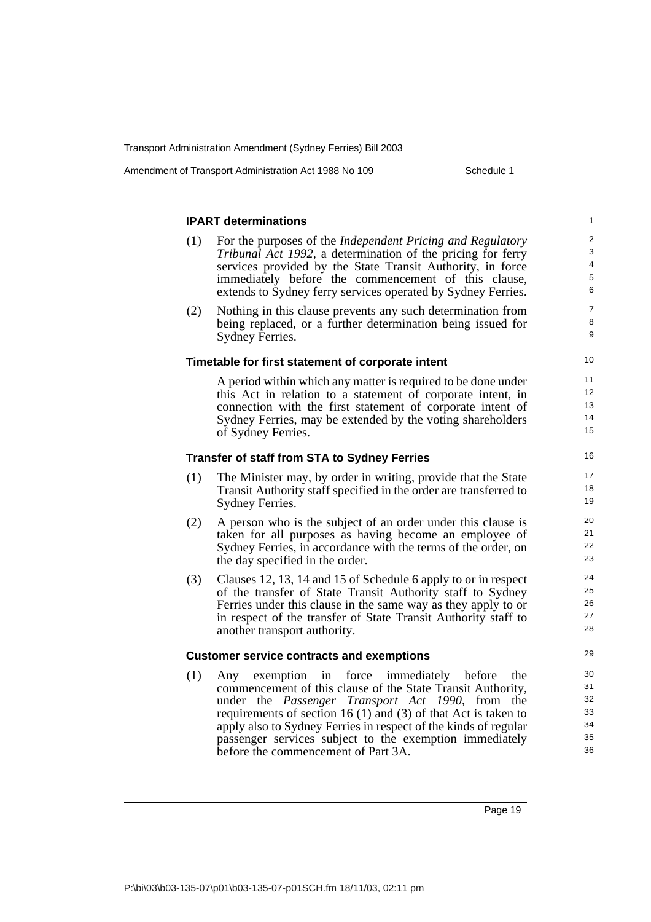Amendment of Transport Administration Act 1988 No 109 Schedule 1

### **IPART determinations**

- (1) For the purposes of the *Independent Pricing and Regulatory Tribunal Act 1992*, a determination of the pricing for ferry services provided by the State Transit Authority, in force immediately before the commencement of this clause, extends to Sydney ferry services operated by Sydney Ferries.
- (2) Nothing in this clause prevents any such determination from being replaced, or a further determination being issued for Sydney Ferries.

### **Timetable for first statement of corporate intent**

A period within which any matter is required to be done under this Act in relation to a statement of corporate intent, in connection with the first statement of corporate intent of Sydney Ferries, may be extended by the voting shareholders of Sydney Ferries.

### **Transfer of staff from STA to Sydney Ferries**

- (1) The Minister may, by order in writing, provide that the State Transit Authority staff specified in the order are transferred to Sydney Ferries.
- (2) A person who is the subject of an order under this clause is taken for all purposes as having become an employee of Sydney Ferries, in accordance with the terms of the order, on the day specified in the order.
- (3) Clauses 12, 13, 14 and 15 of Schedule 6 apply to or in respect of the transfer of State Transit Authority staff to Sydney Ferries under this clause in the same way as they apply to or in respect of the transfer of State Transit Authority staff to another transport authority.

#### **Customer service contracts and exemptions**

(1) Any exemption in force immediately before the commencement of this clause of the State Transit Authority, under the *Passenger Transport Act 1990*, from the requirements of section 16 (1) and (3) of that Act is taken to apply also to Sydney Ferries in respect of the kinds of regular passenger services subject to the exemption immediately before the commencement of Part 3A.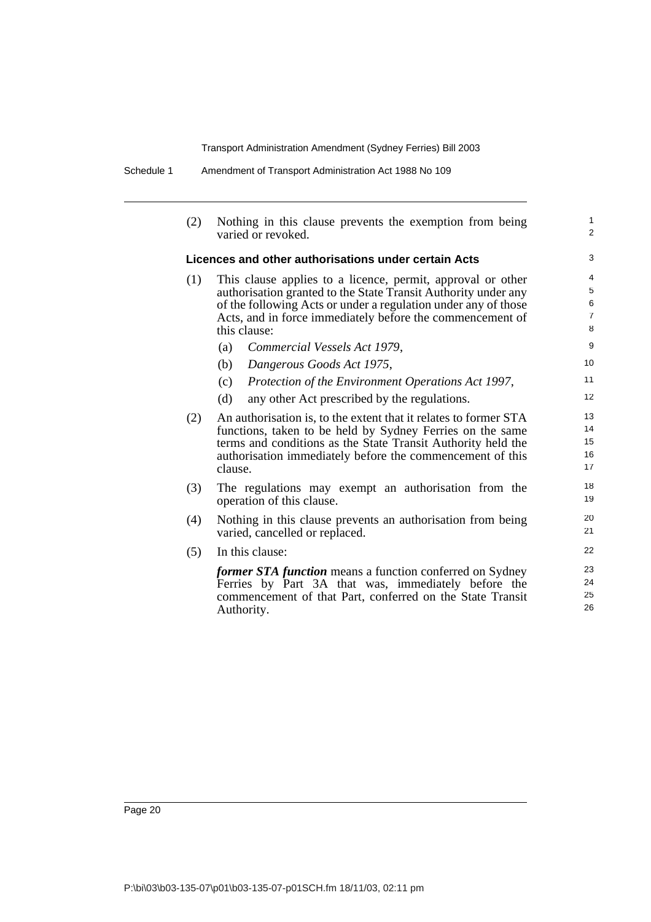|  | Schedule 1 | Amendment of Transport Administration Act 1988 No 109 |  |
|--|------------|-------------------------------------------------------|--|
|--|------------|-------------------------------------------------------|--|

| (2) | Nothing in this clause prevents the exemption from being<br>varied or revoked.                                                                                                                                                                                               | $\mathbf{1}$<br>$\overline{2}$     |
|-----|------------------------------------------------------------------------------------------------------------------------------------------------------------------------------------------------------------------------------------------------------------------------------|------------------------------------|
|     | Licences and other authorisations under certain Acts                                                                                                                                                                                                                         | 3                                  |
| (1) | This clause applies to a licence, permit, approval or other<br>authorisation granted to the State Transit Authority under any<br>of the following Acts or under a regulation under any of those<br>Acts, and in force immediately before the commencement of<br>this clause: | 4<br>5<br>6<br>$\overline{7}$<br>8 |
|     | Commercial Vessels Act 1979,<br>(a)<br>(b)<br>Dangerous Goods Act 1975,                                                                                                                                                                                                      | 9<br>10                            |
|     | Protection of the Environment Operations Act 1997,<br>(c)<br>(d)<br>any other Act prescribed by the regulations.                                                                                                                                                             | 11<br>12                           |
| (2) | An authorisation is, to the extent that it relates to former STA<br>functions, taken to be held by Sydney Ferries on the same<br>terms and conditions as the State Transit Authority held the<br>authorisation immediately before the commencement of this<br>clause.        | 13<br>14<br>15<br>16<br>17         |
| (3) | The regulations may exempt an authorisation from the<br>operation of this clause.                                                                                                                                                                                            | 18<br>19                           |
| (4) | Nothing in this clause prevents an authorisation from being<br>varied, cancelled or replaced.                                                                                                                                                                                | 20<br>21                           |
| (5) | In this clause:                                                                                                                                                                                                                                                              | 22                                 |
|     | former STA function means a function conferred on Sydney<br>Ferries by Part 3A that was, immediately before the<br>commencement of that Part, conferred on the State Transit<br>Authority.                                                                                   | 23<br>24<br>25<br>26               |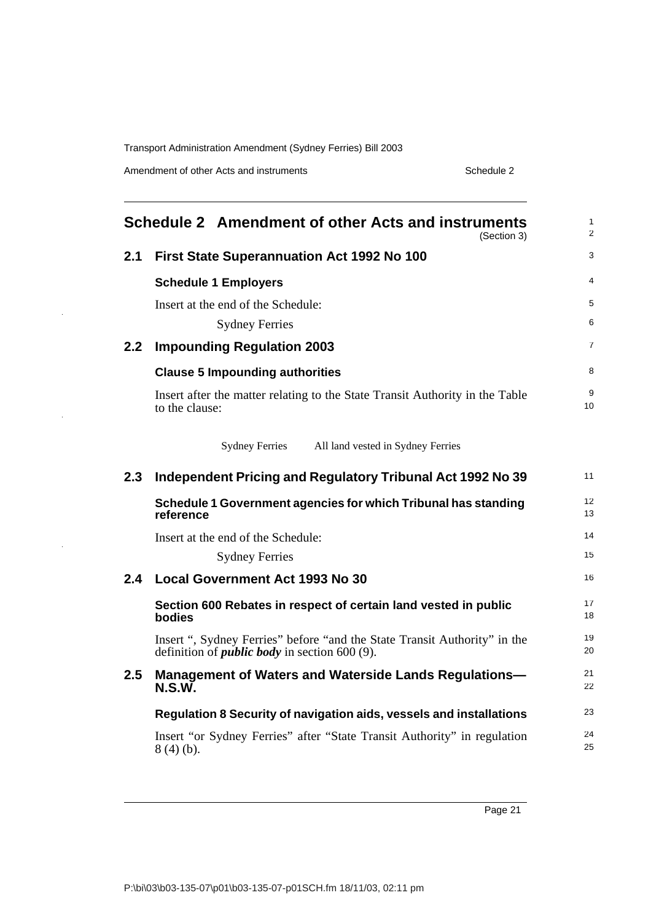Amendment of other Acts and instruments Schedule 2

 $\frac{1}{2}$ 

 $\bar{z}$ 

<span id="page-28-0"></span>

|     | Schedule 2 Amendment of other Acts and instruments<br>(Section 3)                                                                   | $\mathbf{1}$<br>2 |  |
|-----|-------------------------------------------------------------------------------------------------------------------------------------|-------------------|--|
| 2.1 | First State Superannuation Act 1992 No 100                                                                                          | 3                 |  |
|     | <b>Schedule 1 Employers</b>                                                                                                         | 4                 |  |
|     | Insert at the end of the Schedule:                                                                                                  |                   |  |
|     | <b>Sydney Ferries</b>                                                                                                               | 6                 |  |
| 2.2 | <b>Impounding Regulation 2003</b>                                                                                                   | $\overline{7}$    |  |
|     | <b>Clause 5 Impounding authorities</b>                                                                                              | 8                 |  |
|     | Insert after the matter relating to the State Transit Authority in the Table<br>to the clause:                                      | 9<br>10           |  |
|     | <b>Sydney Ferries</b><br>All land vested in Sydney Ferries                                                                          |                   |  |
| 2.3 | Independent Pricing and Regulatory Tribunal Act 1992 No 39                                                                          | 11                |  |
|     | Schedule 1 Government agencies for which Tribunal has standing<br>reference                                                         | 12<br>13          |  |
|     | Insert at the end of the Schedule:                                                                                                  | 14                |  |
|     | <b>Sydney Ferries</b>                                                                                                               | 15                |  |
| 2.4 | <b>Local Government Act 1993 No 30</b>                                                                                              | 16                |  |
|     | Section 600 Rebates in respect of certain land vested in public<br>bodies                                                           | 17<br>18          |  |
|     | Insert ", Sydney Ferries" before "and the State Transit Authority" in the<br>definition of <i>public body</i> in section $600(9)$ . | 19<br>20          |  |
| 2.5 | Management of Waters and Waterside Lands Regulations-<br><b>N.S.W.</b>                                                              | 21<br>22          |  |
|     | Regulation 8 Security of navigation aids, vessels and installations                                                                 | 23                |  |
|     | Insert "or Sydney Ferries" after "State Transit Authority" in regulation<br>$8(4)(b)$ .                                             | 24<br>25          |  |